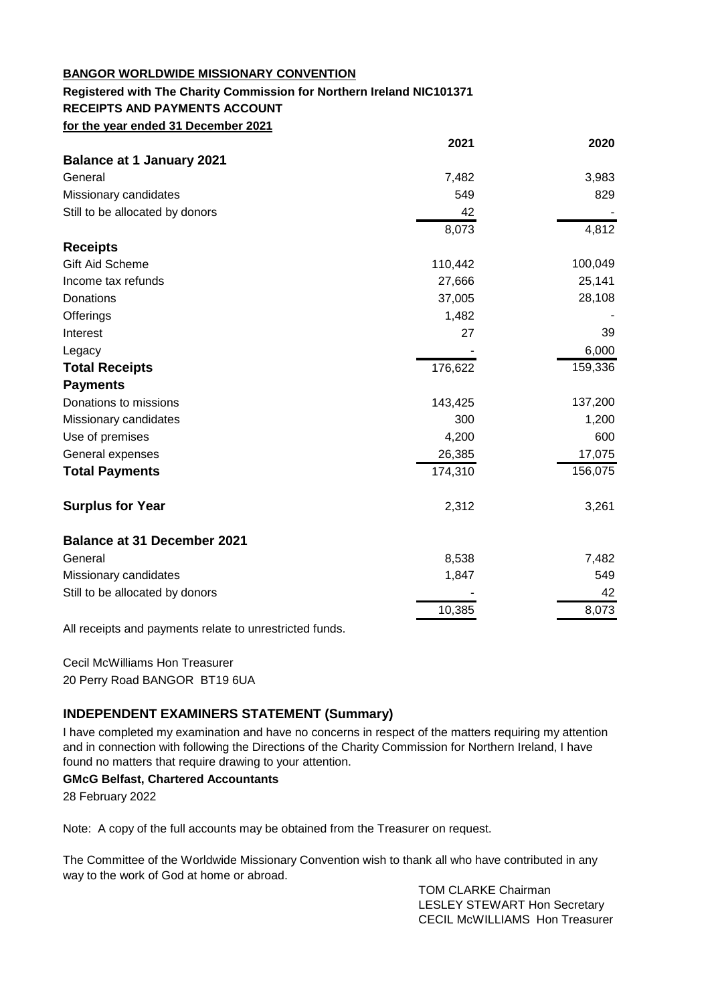#### **BANGOR WORLDWIDE MISSIONARY CONVENTION**

#### **Registered with The Charity Commission for Northern Ireland NIC101371 RECEIPTS AND PAYMENTS ACCOUNT for the year ended 31 December 2021**

| <b>Balance at 1 January 2021</b>   |         |         |
|------------------------------------|---------|---------|
| General                            | 7,482   | 3,983   |
| Missionary candidates              | 549     | 829     |
| Still to be allocated by donors    | 42      |         |
|                                    | 8,073   | 4,812   |
| <b>Receipts</b>                    |         |         |
| Gift Aid Scheme                    | 110,442 | 100,049 |
| Income tax refunds                 | 27,666  | 25,141  |
| Donations                          | 37,005  | 28,108  |
| Offerings                          | 1,482   |         |
| Interest                           | 27      | 39      |
| Legacy                             |         | 6,000   |
| <b>Total Receipts</b>              | 176,622 | 159,336 |
| <b>Payments</b>                    |         |         |
| Donations to missions              | 143,425 | 137,200 |
| Missionary candidates              | 300     | 1,200   |
| Use of premises                    | 4,200   | 600     |
| General expenses                   | 26,385  | 17,075  |
| <b>Total Payments</b>              | 174,310 | 156,075 |
| <b>Surplus for Year</b>            | 2,312   | 3,261   |
| <b>Balance at 31 December 2021</b> |         |         |
| General                            | 8,538   | 7,482   |
| Missionary candidates              | 1,847   | 549     |
| Still to be allocated by donors    |         | 42      |
|                                    | 10,385  | 8,073   |

All receipts and payments relate to unrestricted funds.

Cecil McWilliams Hon Treasurer 20 Perry Road BANGOR BT19 6UA

### **INDEPENDENT EXAMINERS STATEMENT (Summary)**

I have completed my examination and have no concerns in respect of the matters requiring my attention and in connection with following the Directions of the Charity Commission for Northern Ireland, I have found no matters that require drawing to your attention.

#### **GMcG Belfast, Chartered Accountants**

28 February 2022

Note: A copy of the full accounts may be obtained from the Treasurer on request.

The Committee of the Worldwide Missionary Convention wish to thank all who have contributed in any way to the work of God at home or abroad.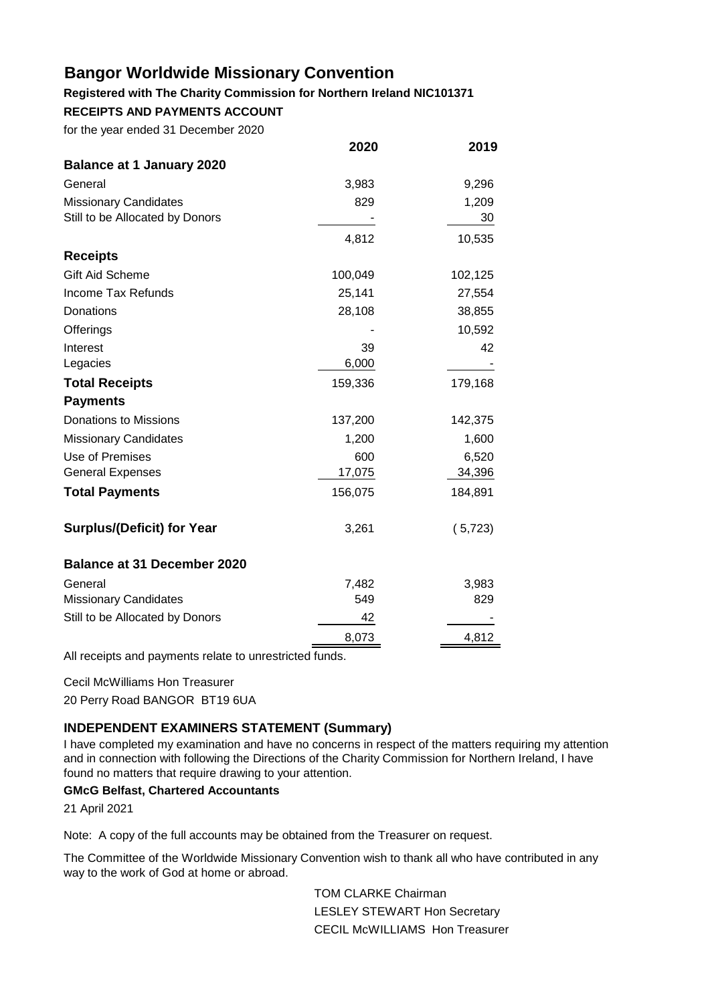#### **Registered with The Charity Commission for Northern Ireland NIC101371**

**RECEIPTS AND PAYMENTS ACCOUNT**

for the year ended 31 December 2020

| 2020    | 2019    |
|---------|---------|
|         |         |
| 3,983   | 9,296   |
| 829     | 1,209   |
|         | 30      |
| 4,812   | 10,535  |
|         |         |
| 100,049 | 102,125 |
| 25,141  | 27,554  |
| 28,108  | 38,855  |
|         | 10,592  |
| 39      | 42      |
| 6,000   |         |
| 159,336 | 179,168 |
|         |         |
| 137,200 | 142,375 |
| 1,200   | 1,600   |
| 600     | 6,520   |
| 17,075  | 34,396  |
| 156,075 | 184,891 |
| 3,261   | (5,723) |
|         |         |
| 7,482   | 3,983   |
| 549     | 829     |
| 42      |         |
| 8,073   | 4,812   |
|         |         |

All receipts and payments relate to unrestricted funds.

Cecil McWilliams Hon Treasurer

20 Perry Road BANGOR BT19 6UA

### **INDEPENDENT EXAMINERS STATEMENT (Summary)**

I have completed my examination and have no concerns in respect of the matters requiring my attention and in connection with following the Directions of the Charity Commission for Northern Ireland, I have found no matters that require drawing to your attention.

### **GMcG Belfast, Chartered Accountants**

21 April 2021

Note: A copy of the full accounts may be obtained from the Treasurer on request.

The Committee of the Worldwide Missionary Convention wish to thank all who have contributed in any way to the work of God at home or abroad.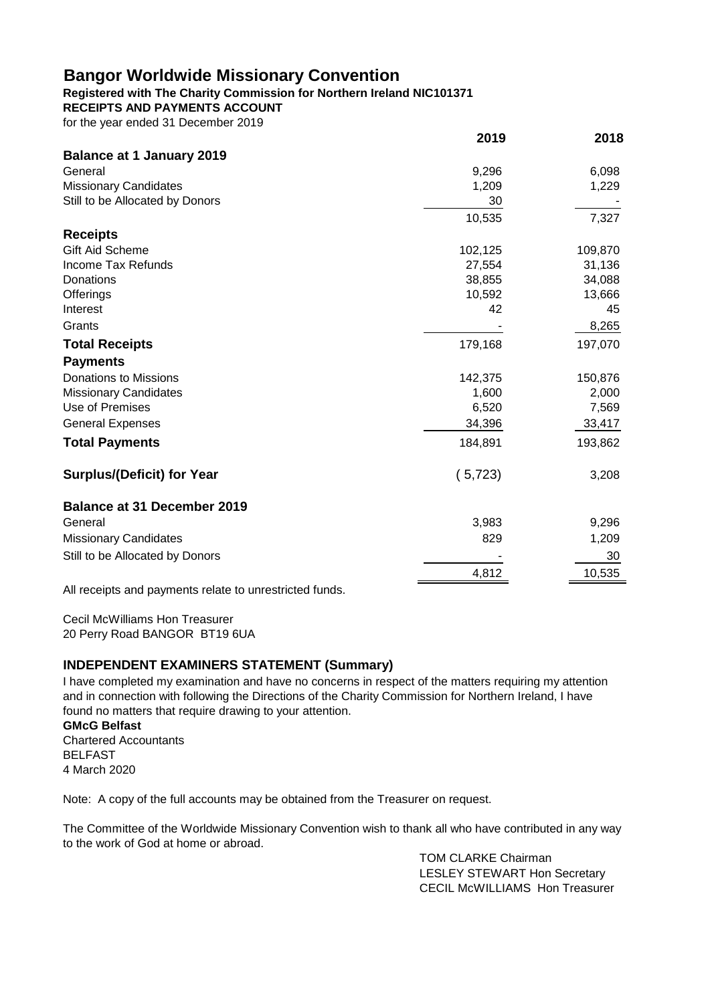### **Registered with The Charity Commission for Northern Ireland NIC101371**

**RECEIPTS AND PAYMENTS ACCOUNT**

for the year ended 31 December 2019

|                                                        | 2019    | 2018    |
|--------------------------------------------------------|---------|---------|
| <b>Balance at 1 January 2019</b>                       |         |         |
| General                                                | 9,296   | 6,098   |
| <b>Missionary Candidates</b>                           | 1,209   | 1,229   |
| Still to be Allocated by Donors                        | 30      |         |
|                                                        | 10,535  | 7,327   |
| <b>Receipts</b>                                        |         |         |
| <b>Gift Aid Scheme</b>                                 | 102,125 | 109,870 |
| <b>Income Tax Refunds</b>                              | 27,554  | 31,136  |
| Donations                                              | 38,855  | 34,088  |
| Offerings                                              | 10,592  | 13,666  |
| Interest                                               | 42      | 45      |
| Grants                                                 |         | 8,265   |
| <b>Total Receipts</b>                                  | 179,168 | 197,070 |
| <b>Payments</b>                                        |         |         |
| Donations to Missions                                  | 142,375 | 150,876 |
| <b>Missionary Candidates</b>                           | 1,600   | 2,000   |
| Use of Premises                                        | 6,520   | 7,569   |
| <b>General Expenses</b>                                | 34,396  | 33,417  |
| <b>Total Payments</b>                                  | 184,891 | 193,862 |
| <b>Surplus/(Deficit) for Year</b>                      | (5,723) | 3,208   |
| <b>Balance at 31 December 2019</b>                     |         |         |
| General                                                | 3,983   | 9,296   |
| <b>Missionary Candidates</b>                           | 829     | 1,209   |
| Still to be Allocated by Donors                        |         | 30      |
|                                                        | 4,812   | 10,535  |
| All receipts and payments relate to unrestricted funds |         |         |

All receipts and payments relate to unrestricted funds.

Cecil McWilliams Hon Treasurer 20 Perry Road BANGOR BT19 6UA

## **INDEPENDENT EXAMINERS STATEMENT (Summary)**

I have completed my examination and have no concerns in respect of the matters requiring my attention and in connection with following the Directions of the Charity Commission for Northern Ireland, I have found no matters that require drawing to your attention.

#### **GMcG Belfast**

Chartered Accountants BELFAST 4 March 2020

Note: A copy of the full accounts may be obtained from the Treasurer on request.

The Committee of the Worldwide Missionary Convention wish to thank all who have contributed in any way to the work of God at home or abroad.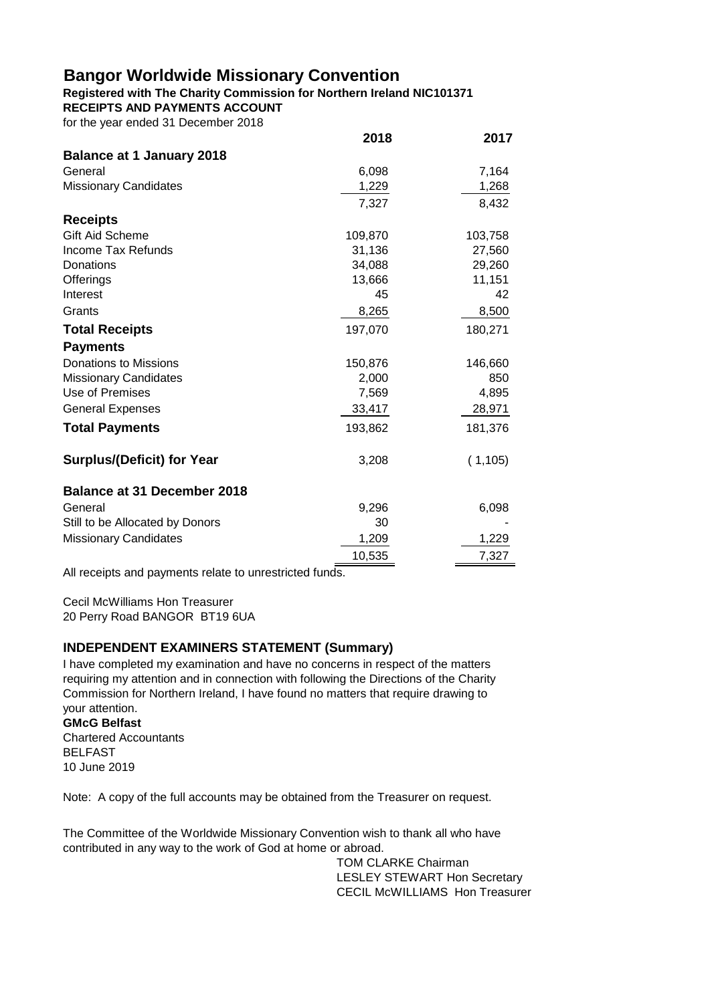**Registered with The Charity Commission for Northern Ireland NIC101371 RECEIPTS AND PAYMENTS ACCOUNT**

for the year ended 31 December 2018

|                                    | 2018    | 2017     |
|------------------------------------|---------|----------|
| <b>Balance at 1 January 2018</b>   |         |          |
| General                            | 6,098   | 7,164    |
| <b>Missionary Candidates</b>       | 1,229   | 1,268    |
|                                    | 7,327   | 8,432    |
| <b>Receipts</b>                    |         |          |
| Gift Aid Scheme                    | 109,870 | 103,758  |
| Income Tax Refunds                 | 31,136  | 27,560   |
| Donations                          | 34,088  | 29,260   |
| Offerings                          | 13,666  | 11,151   |
| Interest                           | 45      | 42       |
| Grants                             | 8,265   | 8,500    |
| <b>Total Receipts</b>              | 197,070 | 180,271  |
| <b>Payments</b>                    |         |          |
| <b>Donations to Missions</b>       | 150,876 | 146,660  |
| <b>Missionary Candidates</b>       | 2,000   | 850      |
| Use of Premises                    | 7,569   | 4,895    |
| <b>General Expenses</b>            | 33,417  | 28,971   |
| <b>Total Payments</b>              | 193,862 | 181,376  |
| <b>Surplus/(Deficit) for Year</b>  | 3,208   | (1, 105) |
| <b>Balance at 31 December 2018</b> |         |          |
| General                            | 9,296   | 6,098    |
| Still to be Allocated by Donors    | 30      |          |
| <b>Missionary Candidates</b>       | 1,209   | 1,229    |
|                                    | 10,535  | 7,327    |

All receipts and payments relate to unrestricted funds.

Cecil McWilliams Hon Treasurer 20 Perry Road BANGOR BT19 6UA

### **INDEPENDENT EXAMINERS STATEMENT (Summary)**

I have completed my examination and have no concerns in respect of the matters requiring my attention and in connection with following the Directions of the Charity Commission for Northern Ireland, I have found no matters that require drawing to your attention.

#### **GMcG Belfast**

Chartered Accountants BELFAST 10 June 2019

Note: A copy of the full accounts may be obtained from the Treasurer on request.

The Committee of the Worldwide Missionary Convention wish to thank all who have contributed in any way to the work of God at home or abroad.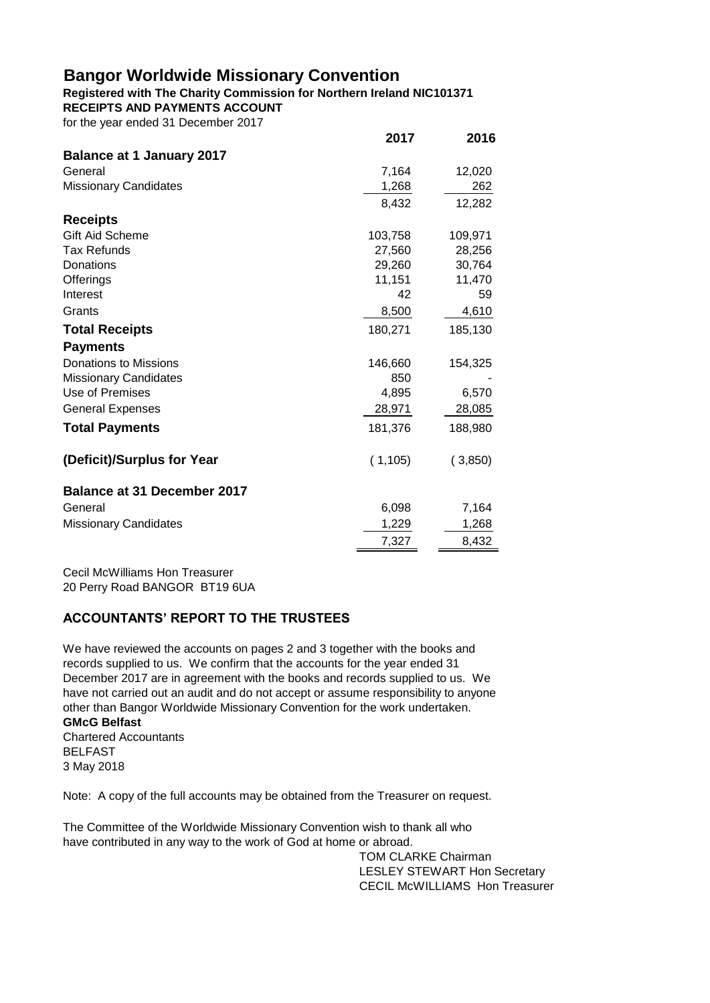#### **Registered with The Charity Commission for Northern Ireland NIC101371 RECEIPTS AND PAYMENTS ACCOUNT**

for the year ended 31 December 2017

|                                    | 2017    | 2016    |
|------------------------------------|---------|---------|
| <b>Balance at 1 January 2017</b>   |         |         |
| General                            | 7,164   | 12,020  |
| <b>Missionary Candidates</b>       | 1,268   | 262     |
|                                    | 8,432   | 12,282  |
| <b>Receipts</b>                    |         |         |
| <b>Gift Aid Scheme</b>             | 103,758 | 109,971 |
| <b>Tax Refunds</b>                 | 27,560  | 28,256  |
| Donations                          | 29,260  | 30,764  |
| Offerings                          | 11,151  | 11,470  |
| Interest                           | 42      | 59      |
| Grants                             | 8,500   | 4,610   |
| <b>Total Receipts</b>              | 180,271 | 185,130 |
| <b>Payments</b>                    |         |         |
| Donations to Missions              | 146,660 | 154,325 |
| <b>Missionary Candidates</b>       | 850     |         |
| Use of Premises                    | 4,895   | 6,570   |
| <b>General Expenses</b>            | 28,971  | 28,085  |
| <b>Total Payments</b>              | 181,376 | 188,980 |
| (Deficit)/Surplus for Year         | (1,105) | (3,850) |
| <b>Balance at 31 December 2017</b> |         |         |
| General                            | 6,098   | 7,164   |
| <b>Missionary Candidates</b>       | 1,229   | 1,268   |
|                                    | 7,327   | 8,432   |

Cecil McWilliams Hon Treasurer 20 Perry Road BANGOR BT19 6UA

## **ACCOUNTANTS' REPORT TO THE TRUSTEES**

**GMcG Belfast** We have reviewed the accounts on pages 2 and 3 together with the books and records supplied to us. We confirm that the accounts for the year ended 31 December 2017 are in agreement with the books and records supplied to us. We have not carried out an audit and do not accept or assume responsibility to anyone other than Bangor Worldwide Missionary Convention for the work undertaken.

Chartered Accountants BELFAST 3 May 2018

Note: A copy of the full accounts may be obtained from the Treasurer on request.

The Committee of the Worldwide Missionary Convention wish to thank all who have contributed in any way to the work of God at home or abroad.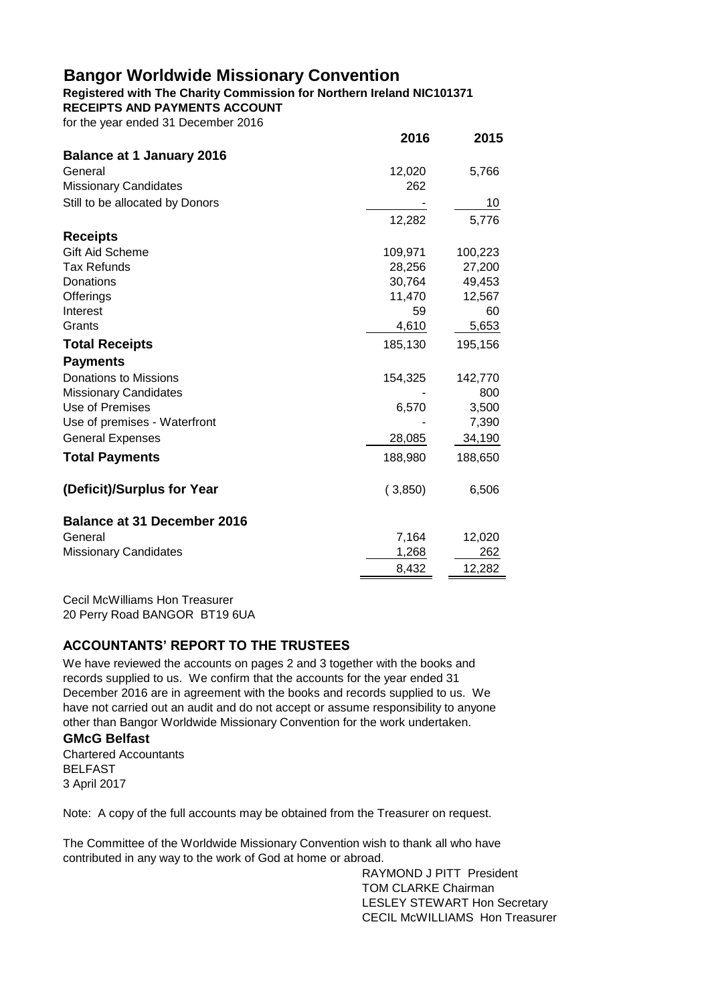## **Registered with The Charity Commission for Northern Ireland NIC101371**

**RECEIPTS AND PAYMENTS ACCOUNT**

| for the year ended 31 December 2016 |  |
|-------------------------------------|--|
|-------------------------------------|--|

|                                    | 2016    | 2015    |
|------------------------------------|---------|---------|
| <b>Balance at 1 January 2016</b>   |         |         |
| General                            | 12,020  | 5,766   |
| <b>Missionary Candidates</b>       | 262     |         |
| Still to be allocated by Donors    |         | 10      |
|                                    | 12,282  | 5,776   |
| <b>Receipts</b>                    |         |         |
| Gift Aid Scheme                    | 109,971 | 100,223 |
| <b>Tax Refunds</b>                 | 28,256  | 27,200  |
| Donations                          | 30,764  | 49,453  |
| Offerings                          | 11,470  | 12,567  |
| Interest                           | 59      | 60      |
| Grants                             | 4,610   | 5,653   |
| <b>Total Receipts</b>              | 185,130 | 195,156 |
| <b>Payments</b>                    |         |         |
| <b>Donations to Missions</b>       | 154,325 | 142,770 |
| <b>Missionary Candidates</b>       |         | 800     |
| Use of Premises                    | 6,570   | 3,500   |
| Use of premises - Waterfront       |         | 7,390   |
| <b>General Expenses</b>            | 28,085  | 34,190  |
| <b>Total Payments</b>              | 188,980 | 188,650 |
| (Deficit)/Surplus for Year         | (3,850) | 6,506   |
| <b>Balance at 31 December 2016</b> |         |         |
| General                            | 7,164   | 12,020  |
| <b>Missionary Candidates</b>       | 1,268   | 262     |
|                                    | 8,432   | 12,282  |

Cecil McWilliams Hon Treasurer 20 Perry Road BANGOR BT19 6UA

## **ACCOUNTANTS' REPORT TO THE TRUSTEES**

We have reviewed the accounts on pages 2 and 3 together with the books and records supplied to us. We confirm that the accounts for the year ended 31 December 2016 are in agreement with the books and records supplied to us. We have not carried out an audit and do not accept or assume responsibility to anyone other than Bangor Worldwide Missionary Convention for the work undertaken.

### **GMcG Belfast**

Chartered Accountants BELFAST 3 April 2017

Note: A copy of the full accounts may be obtained from the Treasurer on request.

The Committee of the Worldwide Missionary Convention wish to thank all who have contributed in any way to the work of God at home or abroad.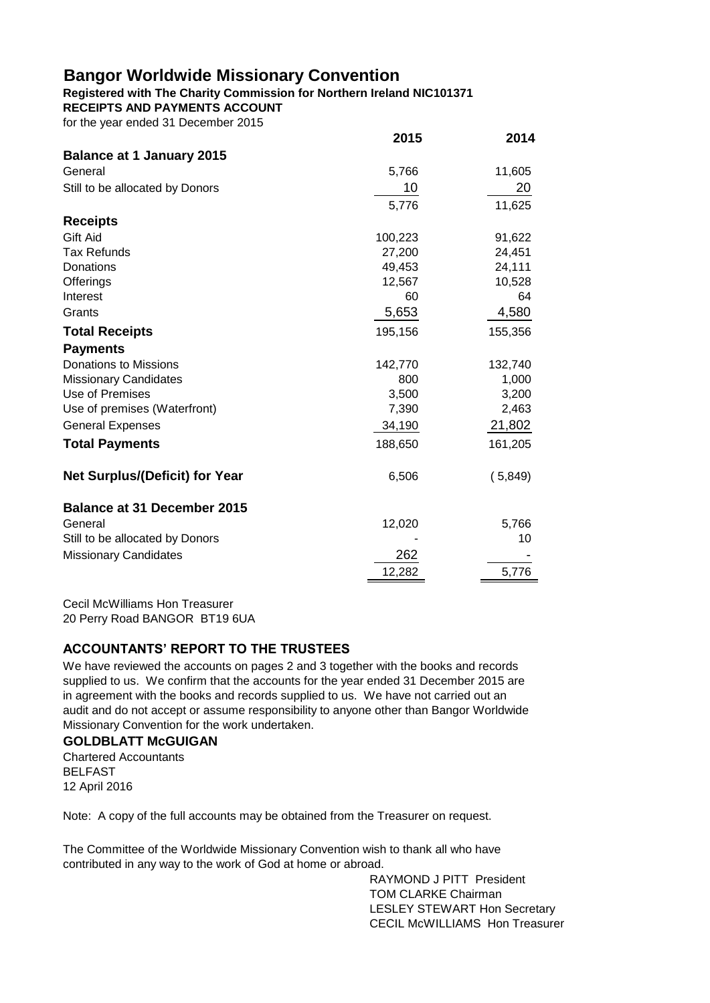#### **Registered with The Charity Commission for Northern Ireland NIC101371**

**RECEIPTS AND PAYMENTS ACCOUNT**

for the year ended 31 December 2015

|                                       | 2015    | 2014    |
|---------------------------------------|---------|---------|
| <b>Balance at 1 January 2015</b>      |         |         |
| General                               | 5,766   | 11,605  |
| Still to be allocated by Donors       | 10      | 20      |
|                                       | 5,776   | 11,625  |
| <b>Receipts</b>                       |         |         |
| Gift Aid                              | 100,223 | 91,622  |
| <b>Tax Refunds</b>                    | 27,200  | 24,451  |
| Donations                             | 49,453  | 24,111  |
| Offerings                             | 12,567  | 10,528  |
| Interest                              | 60      | 64      |
| Grants                                | 5,653   | 4,580   |
| <b>Total Receipts</b>                 | 195,156 | 155,356 |
| <b>Payments</b>                       |         |         |
| <b>Donations to Missions</b>          | 142,770 | 132,740 |
| <b>Missionary Candidates</b>          | 800     | 1,000   |
| Use of Premises                       | 3,500   | 3,200   |
| Use of premises (Waterfront)          | 7,390   | 2,463   |
| <b>General Expenses</b>               | 34,190  | 21,802  |
| <b>Total Payments</b>                 | 188,650 | 161,205 |
| <b>Net Surplus/(Deficit) for Year</b> | 6,506   | (5,849) |
| <b>Balance at 31 December 2015</b>    |         |         |
| General                               | 12,020  | 5,766   |
| Still to be allocated by Donors       |         | 10      |
| <b>Missionary Candidates</b>          | 262     |         |
|                                       | 12,282  | 5,776   |

Cecil McWilliams Hon Treasurer 20 Perry Road BANGOR BT19 6UA

## **ACCOUNTANTS' REPORT TO THE TRUSTEES**

We have reviewed the accounts on pages 2 and 3 together with the books and records supplied to us. We confirm that the accounts for the year ended 31 December 2015 are in agreement with the books and records supplied to us. We have not carried out an audit and do not accept or assume responsibility to anyone other than Bangor Worldwide Missionary Convention for the work undertaken.

## **GOLDBLATT McGUIGAN**

Chartered Accountants BELFAST 12 April 2016

Note: A copy of the full accounts may be obtained from the Treasurer on request.

The Committee of the Worldwide Missionary Convention wish to thank all who have contributed in any way to the work of God at home or abroad.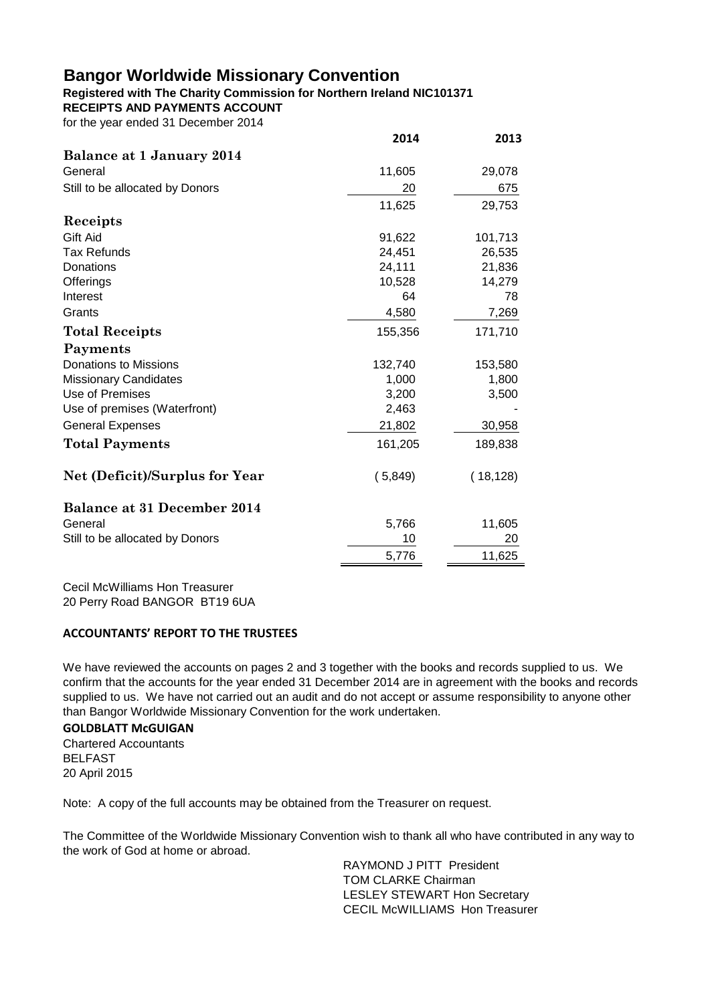## **Registered with The Charity Commission for Northern Ireland NIC101371**

**RECEIPTS AND PAYMENTS ACCOUNT**

for the year ended 31 December 2014

|                                       | 2014    | 2013      |
|---------------------------------------|---------|-----------|
| Balance at 1 January 2014             |         |           |
| General                               | 11,605  | 29,078    |
| Still to be allocated by Donors       | 20      | 675       |
|                                       | 11,625  | 29,753    |
| Receipts                              |         |           |
| Gift Aid                              | 91,622  | 101,713   |
| <b>Tax Refunds</b>                    | 24,451  | 26,535    |
| Donations                             | 24,111  | 21,836    |
| Offerings                             | 10,528  | 14,279    |
| Interest                              | 64      | 78        |
| Grants                                | 4,580   | 7,269     |
| <b>Total Receipts</b>                 | 155,356 | 171,710   |
| Payments                              |         |           |
| <b>Donations to Missions</b>          | 132,740 | 153,580   |
| <b>Missionary Candidates</b>          | 1,000   | 1,800     |
| Use of Premises                       | 3,200   | 3,500     |
| Use of premises (Waterfront)          | 2,463   |           |
| <b>General Expenses</b>               | 21,802  | 30,958    |
| <b>Total Payments</b>                 | 161,205 | 189,838   |
| <b>Net (Deficit)/Surplus for Year</b> | (5,849) | (18, 128) |
| <b>Balance at 31 December 2014</b>    |         |           |
| General                               | 5,766   | 11,605    |
| Still to be allocated by Donors       | 10      | 20        |
|                                       | 5,776   | 11,625    |

Cecil McWilliams Hon Treasurer 20 Perry Road BANGOR BT19 6UA

#### **ACCOUNTANTS' REPORT TO THE TRUSTEES**

We have reviewed the accounts on pages 2 and 3 together with the books and records supplied to us. We confirm that the accounts for the year ended 31 December 2014 are in agreement with the books and records supplied to us. We have not carried out an audit and do not accept or assume responsibility to anyone other than Bangor Worldwide Missionary Convention for the work undertaken.

### **GOLDBLATT McGUIGAN**

Chartered Accountants BELFAST 20 April 2015

Note: A copy of the full accounts may be obtained from the Treasurer on request.

The Committee of the Worldwide Missionary Convention wish to thank all who have contributed in any way to the work of God at home or abroad.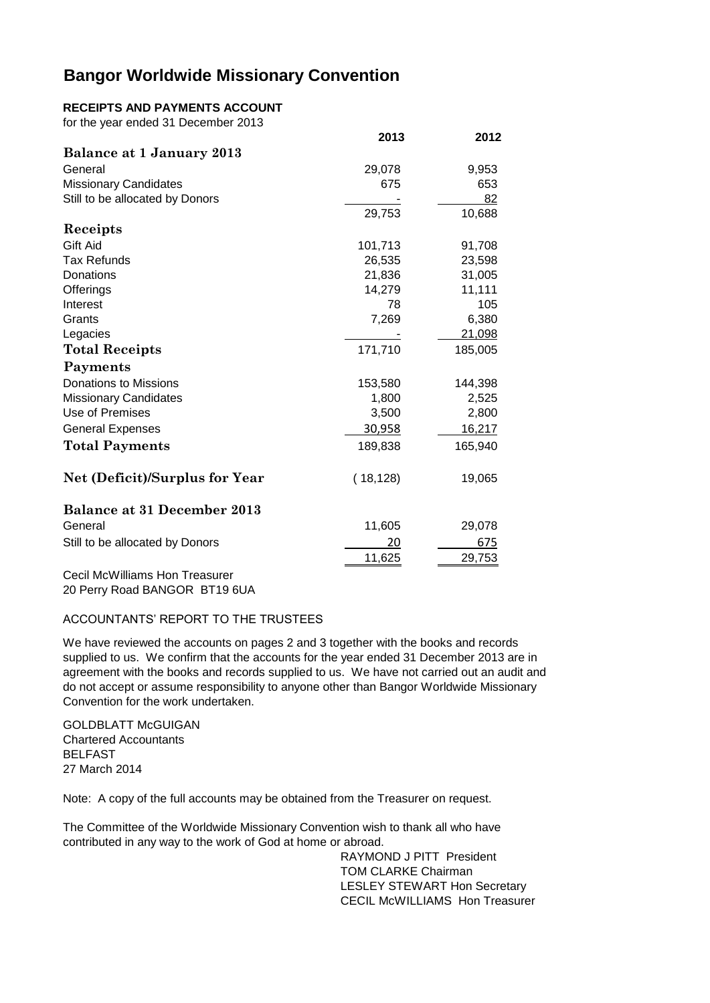#### **RECEIPTS AND PAYMENTS ACCOUNT**

for the year ended 31 December 2013

|                                       | 2013      | 2012    |
|---------------------------------------|-----------|---------|
| Balance at 1 January 2013             |           |         |
| General                               | 29,078    | 9,953   |
| <b>Missionary Candidates</b>          | 675       | 653     |
| Still to be allocated by Donors       |           | 82      |
|                                       | 29,753    | 10,688  |
| Receipts                              |           |         |
| Gift Aid                              | 101,713   | 91,708  |
| <b>Tax Refunds</b>                    | 26,535    | 23,598  |
| Donations                             | 21,836    | 31,005  |
| Offerings                             | 14,279    | 11,111  |
| Interest                              | 78        | 105     |
| Grants                                | 7,269     | 6,380   |
| Legacies                              |           | 21,098  |
| <b>Total Receipts</b>                 | 171,710   | 185,005 |
| Payments                              |           |         |
| <b>Donations to Missions</b>          | 153,580   | 144,398 |
| <b>Missionary Candidates</b>          | 1,800     | 2,525   |
| Use of Premises                       | 3,500     | 2,800   |
| <b>General Expenses</b>               | 30,958    | 16,217  |
| <b>Total Payments</b>                 | 189,838   | 165,940 |
| <b>Net (Deficit)/Surplus for Year</b> | (18, 128) | 19,065  |
| <b>Balance at 31 December 2013</b>    |           |         |
| General                               | 11,605    | 29,078  |
| Still to be allocated by Donors       | 20        | 675     |
|                                       | 11,625    | 29,753  |
|                                       |           |         |

Cecil McWilliams Hon Treasurer 20 Perry Road BANGOR BT19 6UA

#### ACCOUNTANTS' REPORT TO THE TRUSTEES

We have reviewed the accounts on pages 2 and 3 together with the books and records supplied to us. We confirm that the accounts for the year ended 31 December 2013 are in agreement with the books and records supplied to us. We have not carried out an audit and do not accept or assume responsibility to anyone other than Bangor Worldwide Missionary Convention for the work undertaken.

**GOLDBLATT McGUIGAN** Chartered Accountants BELFAST 27 March 2014

Note: A copy of the full accounts may be obtained from the Treasurer on request.

The Committee of the Worldwide Missionary Convention wish to thank all who have contributed in any way to the work of God at home or abroad.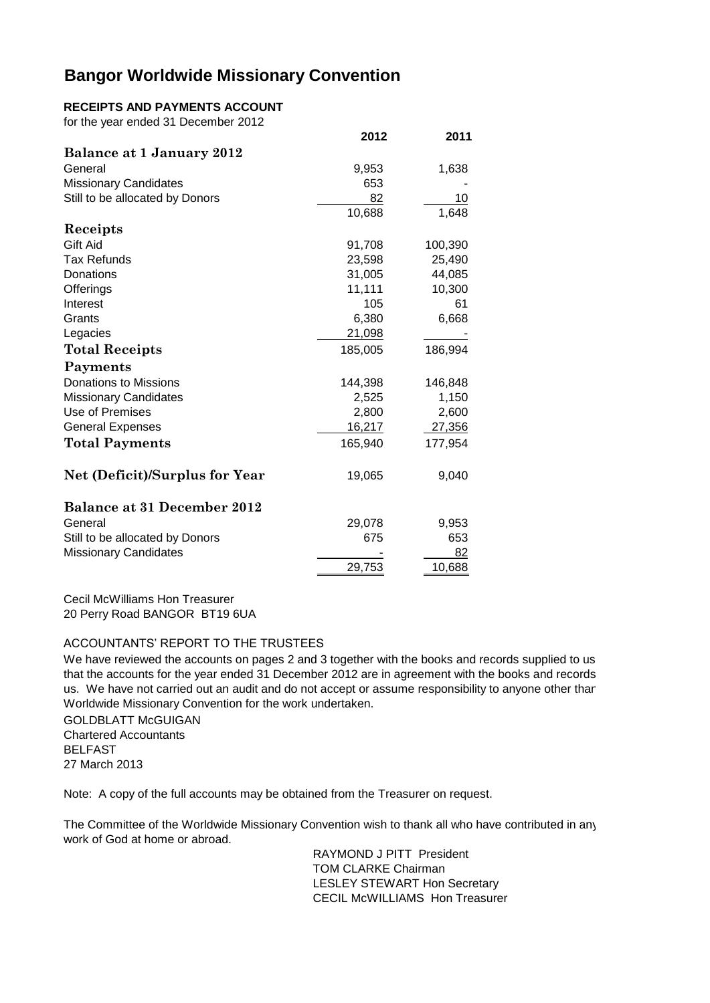### **RECEIPTS AND PAYMENTS ACCOUNT**

for the year ended 31 December 2012

|                                       | 2012    | 2011    |
|---------------------------------------|---------|---------|
| Balance at 1 January 2012             |         |         |
| General                               | 9,953   | 1,638   |
| <b>Missionary Candidates</b>          | 653     |         |
| Still to be allocated by Donors       | 82      | 10      |
|                                       | 10,688  | 1,648   |
| Receipts                              |         |         |
| Gift Aid                              | 91,708  | 100,390 |
| <b>Tax Refunds</b>                    | 23,598  | 25,490  |
| Donations                             | 31,005  | 44,085  |
| Offerings                             | 11,111  | 10,300  |
| Interest                              | 105     | 61      |
| Grants                                | 6,380   | 6,668   |
| Legacies                              | 21,098  |         |
| <b>Total Receipts</b>                 | 185,005 | 186,994 |
| Payments                              |         |         |
| <b>Donations to Missions</b>          | 144,398 | 146,848 |
| <b>Missionary Candidates</b>          | 2,525   | 1,150   |
| Use of Premises                       | 2,800   | 2,600   |
| <b>General Expenses</b>               | 16,217  | 27,356  |
| <b>Total Payments</b>                 | 165,940 | 177,954 |
| <b>Net (Deficit)/Surplus for Year</b> | 19,065  | 9,040   |
| <b>Balance at 31 December 2012</b>    |         |         |
| General                               | 29,078  | 9,953   |
| Still to be allocated by Donors       | 675     | 653     |
| <b>Missionary Candidates</b>          |         | 82      |
|                                       | 29,753  | 10,688  |

Cecil McWilliams Hon Treasurer 20 Perry Road BANGOR BT19 6UA

#### ACCOUNTANTS' REPORT TO THE TRUSTEES

We have reviewed the accounts on pages 2 and 3 together with the books and records supplied to us. that the accounts for the year ended 31 December 2012 are in agreement with the books and records us. We have not carried out an audit and do not accept or assume responsibility to anyone other than Worldwide Missionary Convention for the work undertaken.

**GOLDBLATT McGUIGAN** Chartered Accountants BELFAST 27 March 2013

Note: A copy of the full accounts may be obtained from the Treasurer on request.

The Committee of the Worldwide Missionary Convention wish to thank all who have contributed in any work of God at home or abroad.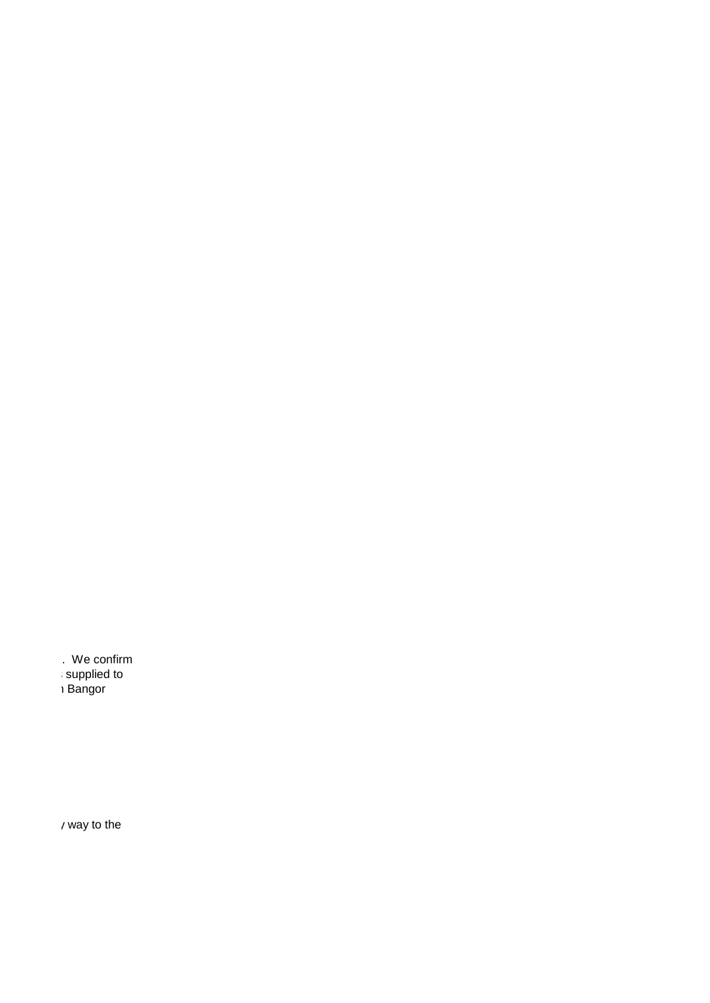. We confirm that the countries<br>
31 Supplied to<br>
31 Bangor

us. We have not carried out and do not all than and do not accept of the summer responsibility to any  $\mathbb{R}$ 

 $\prime$  way to the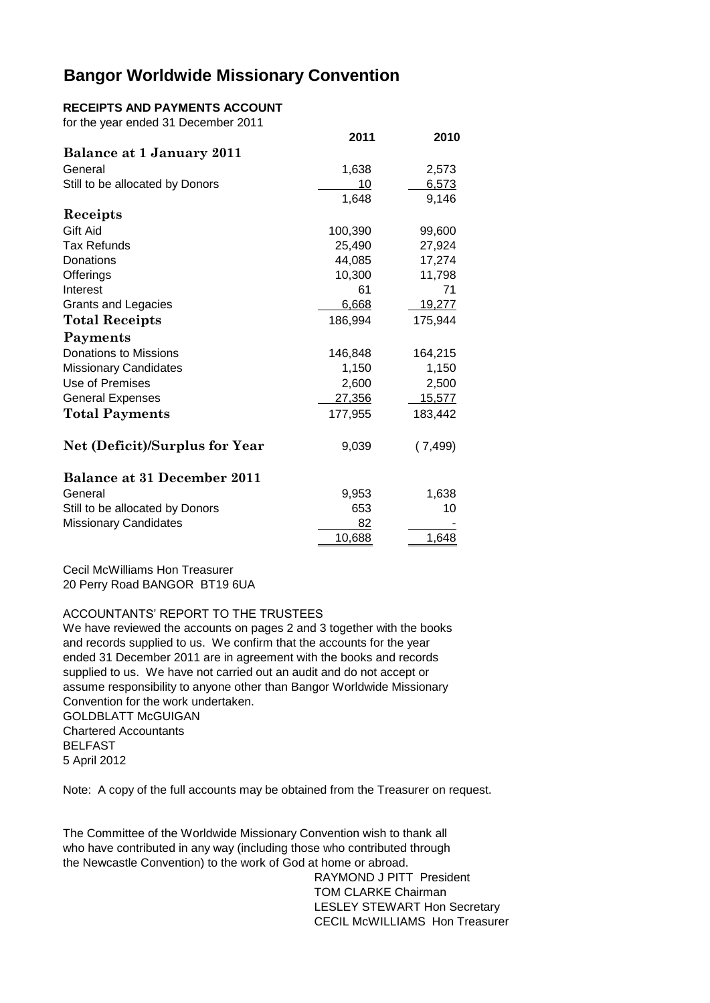#### **RECEIPTS AND PAYMENTS ACCOUNT**

| for the year ended 31 December 2011   |         |               |
|---------------------------------------|---------|---------------|
|                                       | 2011    | 2010          |
| Balance at 1 January 2011             |         |               |
| General                               | 1,638   | 2,573         |
| Still to be allocated by Donors       | 10      | 6,573         |
|                                       | 1,648   | 9,146         |
| Receipts                              |         |               |
| Gift Aid                              | 100,390 | 99,600        |
| <b>Tax Refunds</b>                    | 25,490  | 27,924        |
| Donations                             | 44,085  | 17,274        |
| Offerings                             | 10,300  | 11,798        |
| Interest                              | 61      | 71            |
| <b>Grants and Legacies</b>            | 6,668   | 19,277        |
| <b>Total Receipts</b>                 | 186,994 | 175,944       |
| Payments                              |         |               |
| <b>Donations to Missions</b>          | 146,848 | 164,215       |
| <b>Missionary Candidates</b>          | 1,150   | 1,150         |
| Use of Premises                       | 2,600   | 2,500         |
| <b>General Expenses</b>               | 27,356  | <u>15,577</u> |
| <b>Total Payments</b>                 | 177,955 | 183,442       |
| <b>Net (Deficit)/Surplus for Year</b> | 9,039   | (7,499)       |
| <b>Balance at 31 December 2011</b>    |         |               |
| General                               | 9,953   | 1,638         |
| Still to be allocated by Donors       | 653     | 10            |
| <b>Missionary Candidates</b>          | 82      |               |
|                                       | 10,688  | 1,648         |

Cecil McWilliams Hon Treasurer 20 Perry Road BANGOR BT19 6UA

ACCOUNTANTS' REPORT TO THE TRUSTEES

GOLDBLATT McGUIGAN We have reviewed the accounts on pages 2 and 3 together with the books and records supplied to us. We confirm that the accounts for the year ended 31 December 2011 are in agreement with the books and records supplied to us. We have not carried out an audit and do not accept or assume responsibility to anyone other than Bangor Worldwide Missionary Convention for the work undertaken.

Chartered Accountants BELFAST 5 April 2012

Note: A copy of the full accounts may be obtained from the Treasurer on request.

The Committee of the Worldwide Missionary Convention wish to thank all who have contributed in any way (including those who contributed through the Newcastle Convention) to the work of God at home or abroad.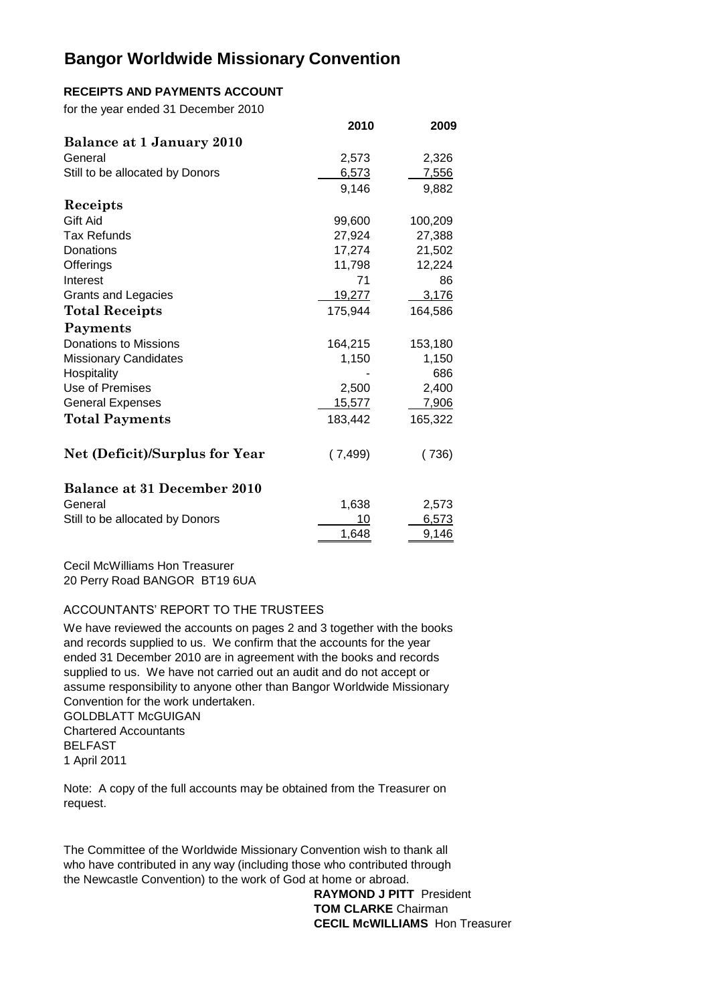### **RECEIPTS AND PAYMENTS ACCOUNT**

for the year ended 31 December 2010

|                                       | 2010          | 2009    |
|---------------------------------------|---------------|---------|
| Balance at 1 January 2010             |               |         |
| General                               | 2,573         | 2,326   |
| Still to be allocated by Donors       | 6,573         | 7,556   |
|                                       | 9,146         | 9,882   |
| Receipts                              |               |         |
| Gift Aid                              | 99,600        | 100,209 |
| <b>Tax Refunds</b>                    | 27,924        | 27,388  |
| Donations                             | 17,274        | 21,502  |
| Offerings                             | 11,798        | 12,224  |
| Interest                              | 71            | 86      |
| <b>Grants and Legacies</b>            | <u>19,277</u> | 3,176   |
| <b>Total Receipts</b>                 | 175,944       | 164,586 |
| Payments                              |               |         |
| <b>Donations to Missions</b>          | 164,215       | 153,180 |
| <b>Missionary Candidates</b>          | 1,150         | 1,150   |
| Hospitality                           |               | 686     |
| Use of Premises                       | 2,500         | 2,400   |
| <b>General Expenses</b>               | 15,577        | 7,906   |
| <b>Total Payments</b>                 | 183,442       | 165,322 |
| <b>Net (Deficit)/Surplus for Year</b> | (7, 499)      | (736)   |
| <b>Balance at 31 December 2010</b>    |               |         |
| General                               | 1,638         | 2,573   |
| Still to be allocated by Donors       | 10            | 6,573   |
|                                       | 1,648         | 9,146   |

Cecil McWilliams Hon Treasurer 20 Perry Road BANGOR BT19 6UA

#### ACCOUNTANTS' REPORT TO THE TRUSTEES

We have reviewed the accounts on pages 2 and 3 together with the books and records supplied to us. We confirm that the accounts for the year ended 31 December 2010 are in agreement with the books and records supplied to us. We have not carried out an audit and do not accept or assume responsibility to anyone other than Bangor Worldwide Missionary Convention for the work undertaken.

GOLDBLATT McGUIGAN Chartered Accountants BELFAST 1 April 2011

Note: A copy of the full accounts may be obtained from the Treasurer on request.

The Committee of the Worldwide Missionary Convention wish to thank all who have contributed in any way (including those who contributed through the Newcastle Convention) to the work of God at home or abroad.

> **RAYMOND J PITT** President **TOM CLARKE** Chairman **CECIL McWILLIAMS** Hon Treasurer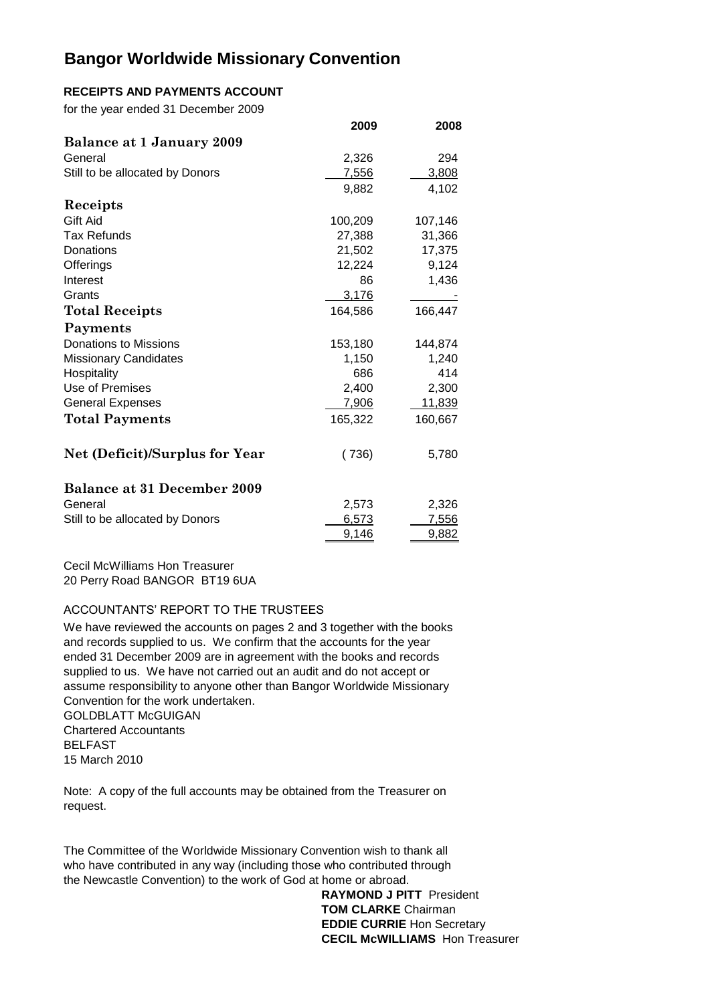### **RECEIPTS AND PAYMENTS ACCOUNT**

for the year ended 31 December 2009

|                                    | 2009    | 2008         |
|------------------------------------|---------|--------------|
| Balance at 1 January 2009          |         |              |
| General                            | 2,326   | 294          |
| Still to be allocated by Donors    | 7,556   | 3,808        |
|                                    | 9,882   | 4,102        |
| Receipts                           |         |              |
| <b>Gift Aid</b>                    | 100,209 | 107,146      |
| <b>Tax Refunds</b>                 | 27,388  | 31,366       |
| Donations                          | 21,502  | 17,375       |
| Offerings                          | 12,224  | 9,124        |
| Interest                           | 86      | 1,436        |
| Grants                             | 3,176   |              |
| <b>Total Receipts</b>              | 164,586 | 166,447      |
| Payments                           |         |              |
| <b>Donations to Missions</b>       | 153,180 | 144,874      |
| <b>Missionary Candidates</b>       | 1,150   | 1,240        |
| Hospitality                        | 686     | 414          |
| Use of Premises                    | 2,400   | 2,300        |
| <b>General Expenses</b>            | 7,906   | 11,839       |
| <b>Total Payments</b>              | 165,322 | 160,667      |
| Net (Deficit)/Surplus for Year     | (736)   | 5,780        |
| <b>Balance at 31 December 2009</b> |         |              |
| General                            | 2,573   | 2,326        |
| Still to be allocated by Donors    | 6,573   | <u>7,556</u> |
|                                    | 9,146   | 9,882        |

Cecil McWilliams Hon Treasurer 20 Perry Road BANGOR BT19 6UA

#### ACCOUNTANTS' REPORT TO THE TRUSTEES

We have reviewed the accounts on pages 2 and 3 together with the books and records supplied to us. We confirm that the accounts for the year ended 31 December 2009 are in agreement with the books and records supplied to us. We have not carried out an audit and do not accept or assume responsibility to anyone other than Bangor Worldwide Missionary Convention for the work undertaken.

**GOLDBLATT McGUIGAN** Chartered Accountants BELFAST 15 March 2010

Note: A copy of the full accounts may be obtained from the Treasurer on request.

The Committee of the Worldwide Missionary Convention wish to thank all who have contributed in any way (including those who contributed through the Newcastle Convention) to the work of God at home or abroad.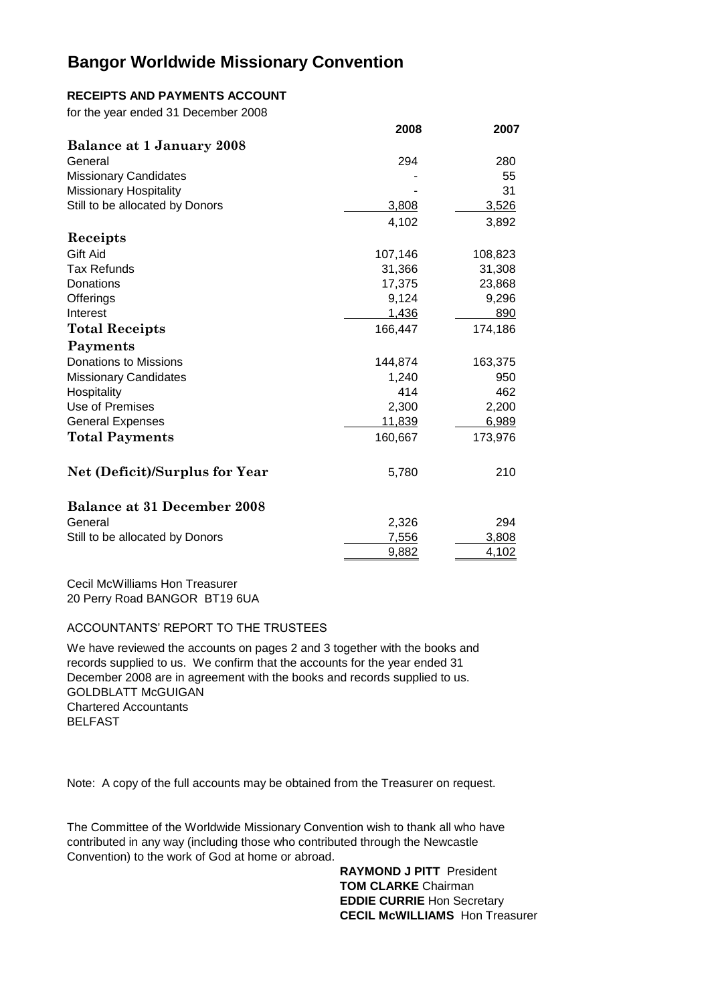### **RECEIPTS AND PAYMENTS ACCOUNT**

for the year ended 31 December 2008

|                                       | 2008    | 2007    |
|---------------------------------------|---------|---------|
| Balance at 1 January 2008             |         |         |
| General                               | 294     | 280     |
| <b>Missionary Candidates</b>          |         | 55      |
| <b>Missionary Hospitality</b>         |         | 31      |
| Still to be allocated by Donors       | 3,808   | 3,526   |
|                                       | 4,102   | 3,892   |
| Receipts                              |         |         |
| Gift Aid                              | 107,146 | 108,823 |
| <b>Tax Refunds</b>                    | 31,366  | 31,308  |
| Donations                             | 17,375  | 23,868  |
| Offerings                             | 9,124   | 9,296   |
| Interest                              | 1,436   | 890     |
| <b>Total Receipts</b>                 | 166,447 | 174,186 |
| Payments                              |         |         |
| <b>Donations to Missions</b>          | 144,874 | 163,375 |
| <b>Missionary Candidates</b>          | 1,240   | 950     |
| Hospitality                           | 414     | 462     |
| Use of Premises                       | 2,300   | 2,200   |
| <b>General Expenses</b>               | 11,839  | 6,989   |
| <b>Total Payments</b>                 | 160,667 | 173,976 |
| <b>Net (Deficit)/Surplus for Year</b> | 5,780   | 210     |
| <b>Balance at 31 December 2008</b>    |         |         |
| General                               | 2,326   | 294     |
| Still to be allocated by Donors       | 7,556   | 3,808   |
|                                       | 9,882   | 4,102   |

Cecil McWilliams Hon Treasurer 20 Perry Road BANGOR BT19 6UA

### ACCOUNTANTS' REPORT TO THE TRUSTEES

GOLDBLATT McGUIGAN Chartered Accountants BELFAST We have reviewed the accounts on pages 2 and 3 together with the books and records supplied to us. We confirm that the accounts for the year ended 31 December 2008 are in agreement with the books and records supplied to us.

Note: A copy of the full accounts may be obtained from the Treasurer on request.

The Committee of the Worldwide Missionary Convention wish to thank all who have contributed in any way (including those who contributed through the Newcastle Convention) to the work of God at home or abroad.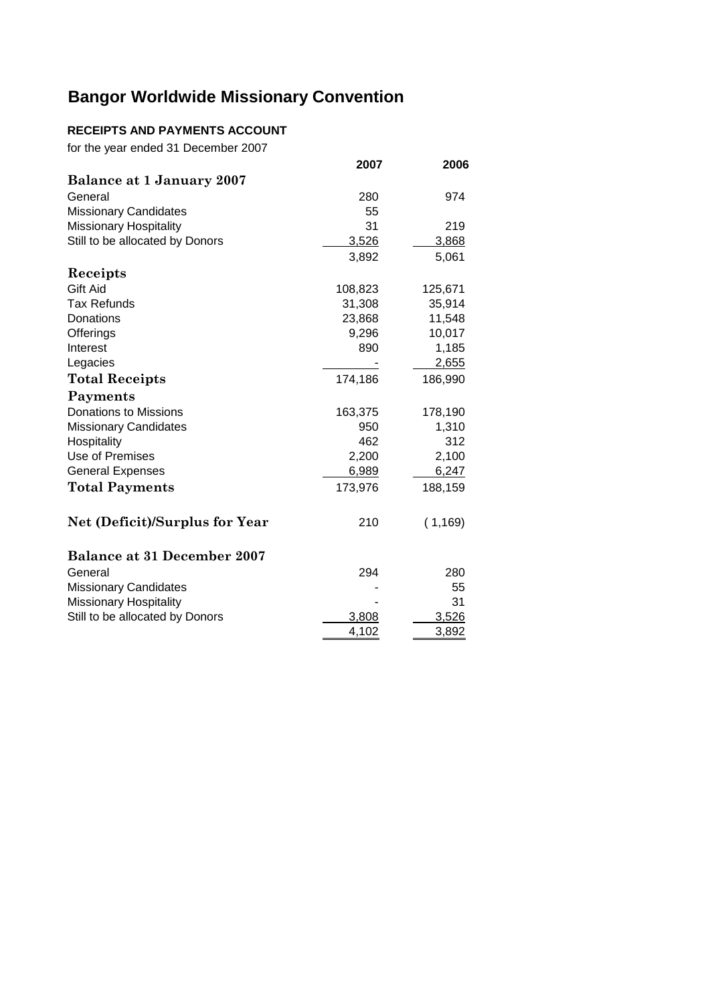## **RECEIPTS AND PAYMENTS ACCOUNT**

for the year ended 31 December 2007

|                                       | 2007    | 2006     |
|---------------------------------------|---------|----------|
| Balance at 1 January 2007             |         |          |
| General                               | 280     | 974      |
| <b>Missionary Candidates</b>          | 55      |          |
| <b>Missionary Hospitality</b>         | 31      | 219      |
| Still to be allocated by Donors       | 3,526   | 3,868    |
|                                       | 3,892   | 5,061    |
| Receipts                              |         |          |
| Gift Aid                              | 108,823 | 125,671  |
| <b>Tax Refunds</b>                    | 31,308  | 35,914   |
| Donations                             | 23,868  | 11,548   |
| Offerings                             | 9,296   | 10,017   |
| Interest                              | 890     | 1,185    |
| Legacies                              |         | 2,655    |
| <b>Total Receipts</b>                 | 174,186 | 186,990  |
| Payments                              |         |          |
| <b>Donations to Missions</b>          | 163,375 | 178,190  |
| <b>Missionary Candidates</b>          | 950     | 1,310    |
| Hospitality                           | 462     | 312      |
| Use of Premises                       | 2,200   | 2,100    |
| <b>General Expenses</b>               | 6,989   | 6,247    |
| <b>Total Payments</b>                 | 173,976 | 188,159  |
| <b>Net (Deficit)/Surplus for Year</b> | 210     | (1, 169) |
| <b>Balance at 31 December 2007</b>    |         |          |
| General                               | 294     | 280      |
| <b>Missionary Candidates</b>          |         | 55       |
| Missionary Hospitality                |         | 31       |
| Still to be allocated by Donors       | 3,808   | 3,526    |
|                                       | 4,102   | 3,892    |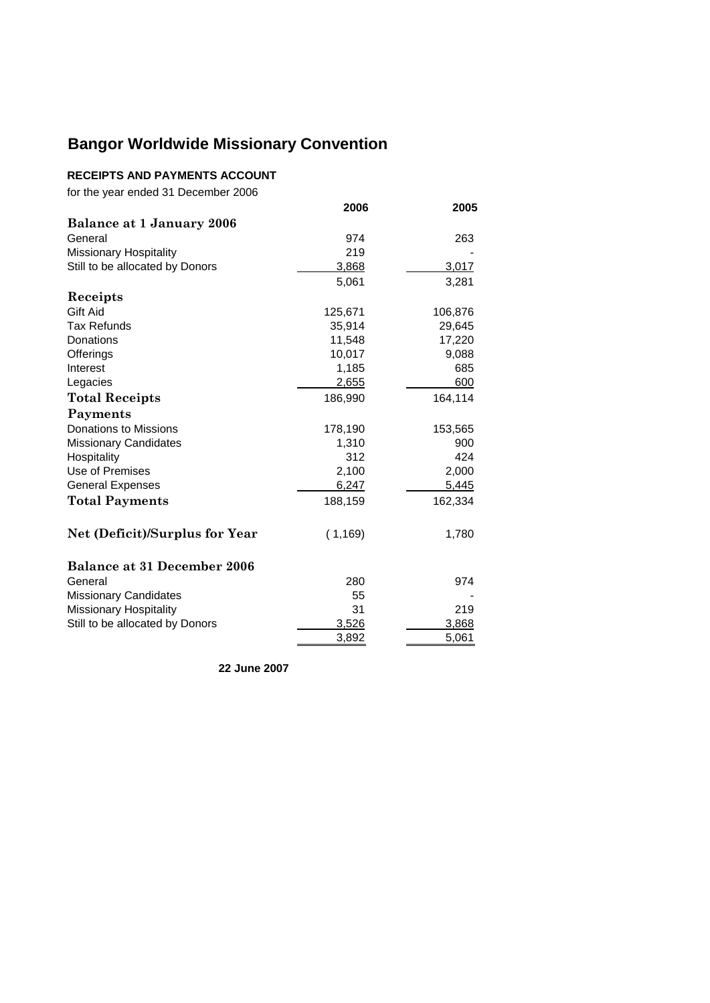### **RECEIPTS AND PAYMENTS ACCOUNT**

for the year ended 31 December 2006

|                                    | 2006     | 2005    |
|------------------------------------|----------|---------|
| Balance at 1 January 2006          |          |         |
| General                            | 974      | 263     |
| <b>Missionary Hospitality</b>      | 219      |         |
| Still to be allocated by Donors    | 3,868    | 3,017   |
|                                    | 5,061    | 3,281   |
| Receipts                           |          |         |
| Gift Aid                           | 125,671  | 106,876 |
| <b>Tax Refunds</b>                 | 35,914   | 29,645  |
| Donations                          | 11,548   | 17,220  |
| Offerings                          | 10,017   | 9,088   |
| Interest                           | 1,185    | 685     |
| Legacies                           | 2,655    | 600     |
| <b>Total Receipts</b>              | 186,990  | 164,114 |
| Payments                           |          |         |
| <b>Donations to Missions</b>       | 178,190  | 153,565 |
| <b>Missionary Candidates</b>       | 1,310    | 900     |
| Hospitality                        | 312      | 424     |
| Use of Premises                    | 2,100    | 2,000   |
| <b>General Expenses</b>            | 6,247    | 5,445   |
| <b>Total Payments</b>              | 188,159  | 162,334 |
| Net (Deficit)/Surplus for Year     | (1, 169) | 1,780   |
| <b>Balance at 31 December 2006</b> |          |         |
| General                            | 280      | 974     |
| <b>Missionary Candidates</b>       | 55       |         |
| Missionary Hospitality             | 31       | 219     |
| Still to be allocated by Donors    | 3,526    | 3,868   |
|                                    | 3,892    | 5,061   |

**22 June 2007**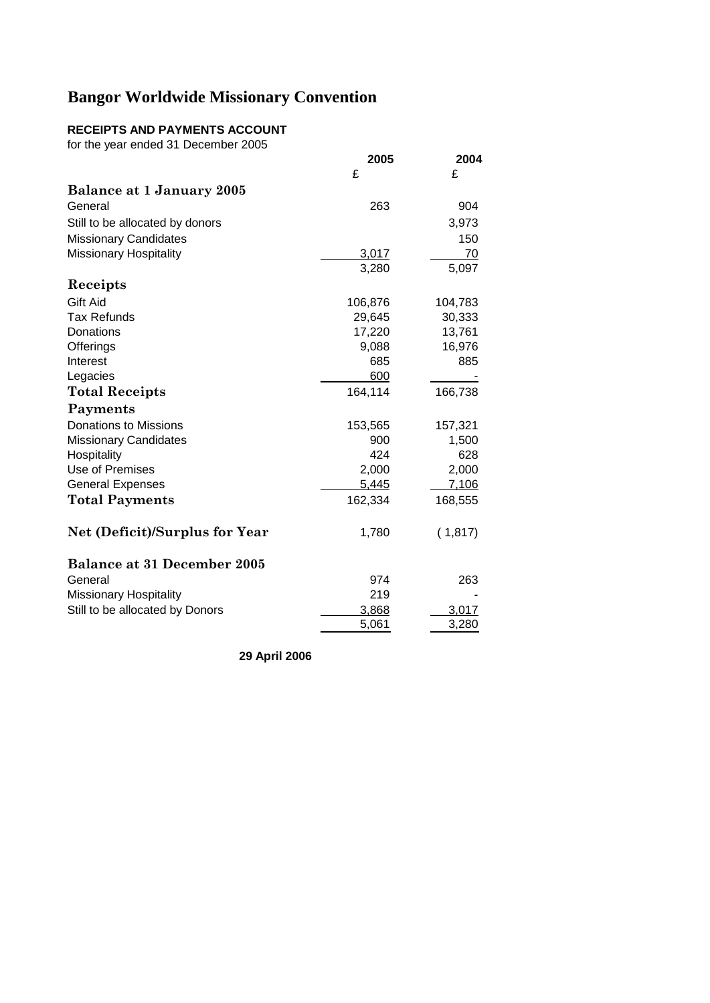## **RECEIPTS AND PAYMENTS ACCOUNT**

for the year ended 31 December 2005

|                                       | 2005    | 2004    |
|---------------------------------------|---------|---------|
|                                       | £       | £       |
| Balance at 1 January 2005             |         |         |
| General                               | 263     | 904     |
| Still to be allocated by donors       |         | 3,973   |
| <b>Missionary Candidates</b>          |         | 150     |
| <b>Missionary Hospitality</b>         | 3,017   | 70      |
|                                       | 3,280   | 5,097   |
| Receipts                              |         |         |
| Gift Aid                              | 106,876 | 104,783 |
| <b>Tax Refunds</b>                    | 29,645  | 30,333  |
| Donations                             | 17,220  | 13,761  |
| Offerings                             | 9,088   | 16,976  |
| Interest                              | 685     | 885     |
| Legacies                              | 600     |         |
| <b>Total Receipts</b>                 | 164,114 | 166,738 |
| Payments                              |         |         |
| <b>Donations to Missions</b>          | 153,565 | 157,321 |
| <b>Missionary Candidates</b>          | 900     | 1,500   |
| Hospitality                           | 424     | 628     |
| Use of Premises                       | 2,000   | 2,000   |
| <b>General Expenses</b>               | 5,445   | 7,106   |
| <b>Total Payments</b>                 | 162,334 | 168,555 |
| <b>Net (Deficit)/Surplus for Year</b> | 1,780   | (1,817) |
| <b>Balance at 31 December 2005</b>    |         |         |
| General                               | 974     | 263     |
| <b>Missionary Hospitality</b>         | 219     |         |
| Still to be allocated by Donors       | 3,868   | 3,017   |
|                                       | 5,061   | 3,280   |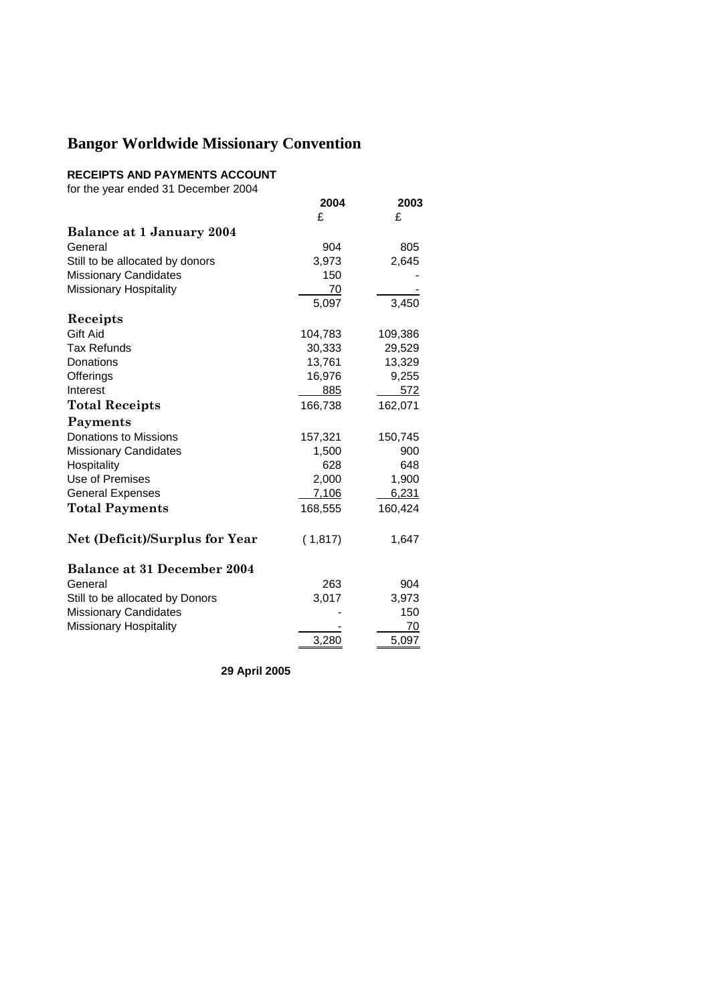### **RECEIPTS AND PAYMENTS ACCOUNT**

for the year ended 31 December 2004

|                                       | 2004    | 2003    |
|---------------------------------------|---------|---------|
|                                       | £       | £       |
| Balance at 1 January 2004             |         |         |
| General                               | 904     | 805     |
| Still to be allocated by donors       | 3,973   | 2,645   |
| <b>Missionary Candidates</b>          | 150     |         |
| Missionary Hospitality                | 70      |         |
|                                       | 5,097   | 3,450   |
| Receipts                              |         |         |
| Gift Aid                              | 104,783 | 109,386 |
| Tax Refunds                           | 30,333  | 29,529  |
| Donations                             | 13,761  | 13,329  |
| Offerings                             | 16,976  | 9,255   |
| Interest                              | 885     | 572     |
| <b>Total Receipts</b>                 | 166,738 | 162,071 |
| Payments                              |         |         |
| <b>Donations to Missions</b>          | 157,321 | 150,745 |
| <b>Missionary Candidates</b>          | 1,500   | 900     |
| Hospitality                           | 628     | 648     |
| Use of Premises                       | 2,000   | 1,900   |
| <b>General Expenses</b>               | 7,106   | 6,231   |
| <b>Total Payments</b>                 | 168,555 | 160,424 |
| <b>Net (Deficit)/Surplus for Year</b> | (1,817) | 1,647   |
| <b>Balance at 31 December 2004</b>    |         |         |
| General                               | 263     | 904     |
| Still to be allocated by Donors       | 3,017   | 3,973   |
| <b>Missionary Candidates</b>          |         | 150     |
| <b>Missionary Hospitality</b>         |         | 70      |
|                                       | 3,280   | 5,097   |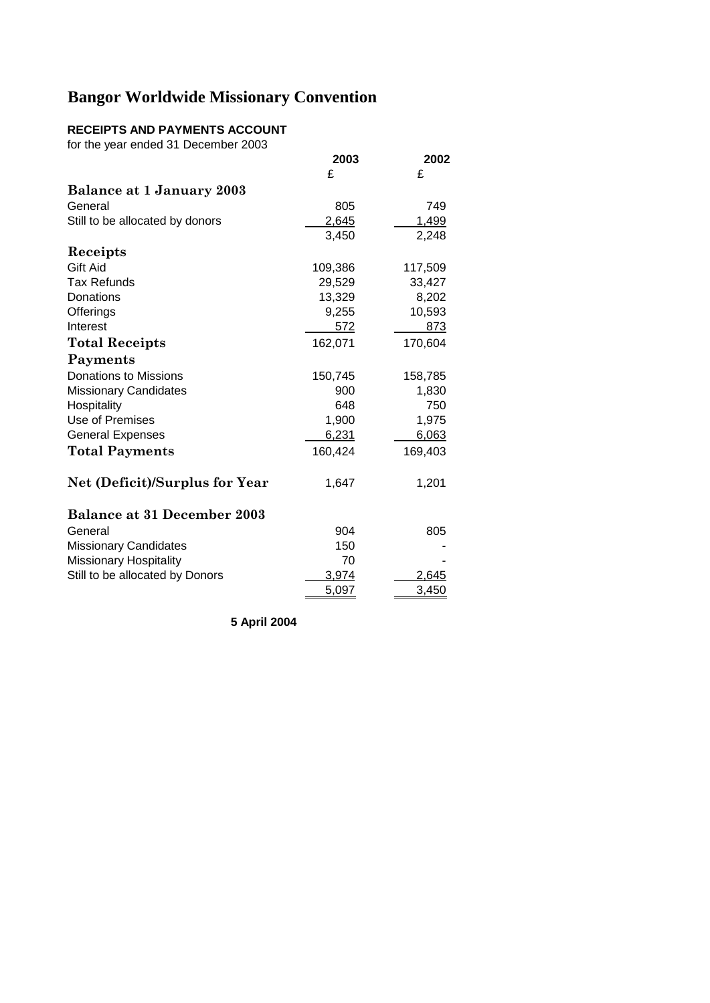### **RECEIPTS AND PAYMENTS ACCOUNT**

for the year ended 31 December 2003

|                                       | 2003    | 2002    |
|---------------------------------------|---------|---------|
|                                       | £       | £       |
| Balance at 1 January 2003             |         |         |
| General                               | 805     | 749     |
| Still to be allocated by donors       | 2,645   | 1,499   |
|                                       | 3,450   | 2,248   |
| Receipts                              |         |         |
| Gift Aid                              | 109,386 | 117,509 |
| <b>Tax Refunds</b>                    | 29,529  | 33,427  |
| Donations                             | 13,329  | 8,202   |
| Offerings                             | 9,255   | 10,593  |
| Interest                              | 572     | 873     |
| <b>Total Receipts</b>                 | 162,071 | 170,604 |
| Payments                              |         |         |
| Donations to Missions                 | 150,745 | 158,785 |
| <b>Missionary Candidates</b>          | 900     | 1,830   |
| Hospitality                           | 648     | 750     |
| Use of Premises                       | 1,900   | 1,975   |
| <b>General Expenses</b>               | 6,231   | 6,063   |
| <b>Total Payments</b>                 | 160,424 | 169,403 |
| <b>Net (Deficit)/Surplus for Year</b> | 1,647   | 1,201   |
| <b>Balance at 31 December 2003</b>    |         |         |
| General                               | 904     | 805     |
| <b>Missionary Candidates</b>          | 150     |         |
| <b>Missionary Hospitality</b>         | 70      |         |
| Still to be allocated by Donors       | 3,974   | 2,645   |
|                                       | 5,097   | 3,450   |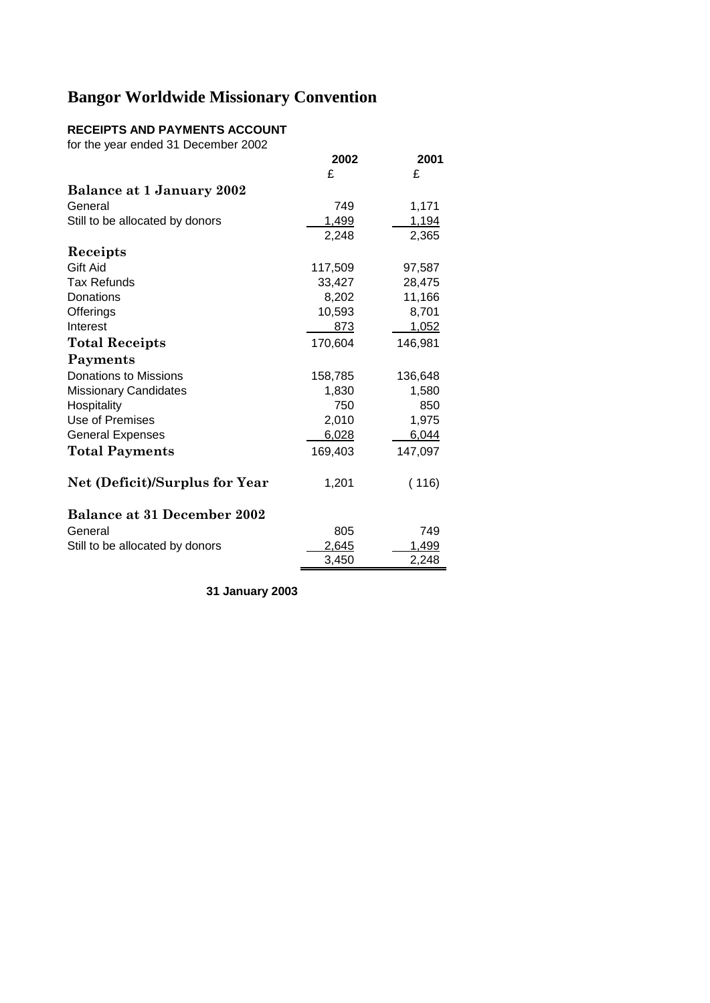## **RECEIPTS AND PAYMENTS ACCOUNT**

for the year ended 31 December 2002

|                                    | 2002    | 2001    |
|------------------------------------|---------|---------|
|                                    | £       | £       |
| Balance at 1 January 2002          |         |         |
| General                            | 749     | 1,171   |
| Still to be allocated by donors    | 1,499   | 1,194   |
|                                    | 2,248   | 2,365   |
| Receipts                           |         |         |
| Gift Aid                           | 117,509 | 97,587  |
| Tax Refunds                        | 33,427  | 28,475  |
| Donations                          | 8,202   | 11,166  |
| Offerings                          | 10,593  | 8,701   |
| Interest                           | 873     | 1,052   |
| <b>Total Receipts</b>              | 170,604 | 146,981 |
| Payments                           |         |         |
| Donations to Missions              | 158,785 | 136,648 |
| <b>Missionary Candidates</b>       | 1,830   | 1,580   |
| Hospitality                        | 750     | 850     |
| Use of Premises                    | 2,010   | 1,975   |
| <b>General Expenses</b>            | 6,028   | 6,044   |
| <b>Total Payments</b>              | 169,403 | 147,097 |
| Net (Deficit)/Surplus for Year     | 1,201   | (116)   |
| <b>Balance at 31 December 2002</b> |         |         |
| General                            | 805     | 749     |
| Still to be allocated by donors    | 2,645   | 1,499   |
|                                    | 3,450   | 2,248   |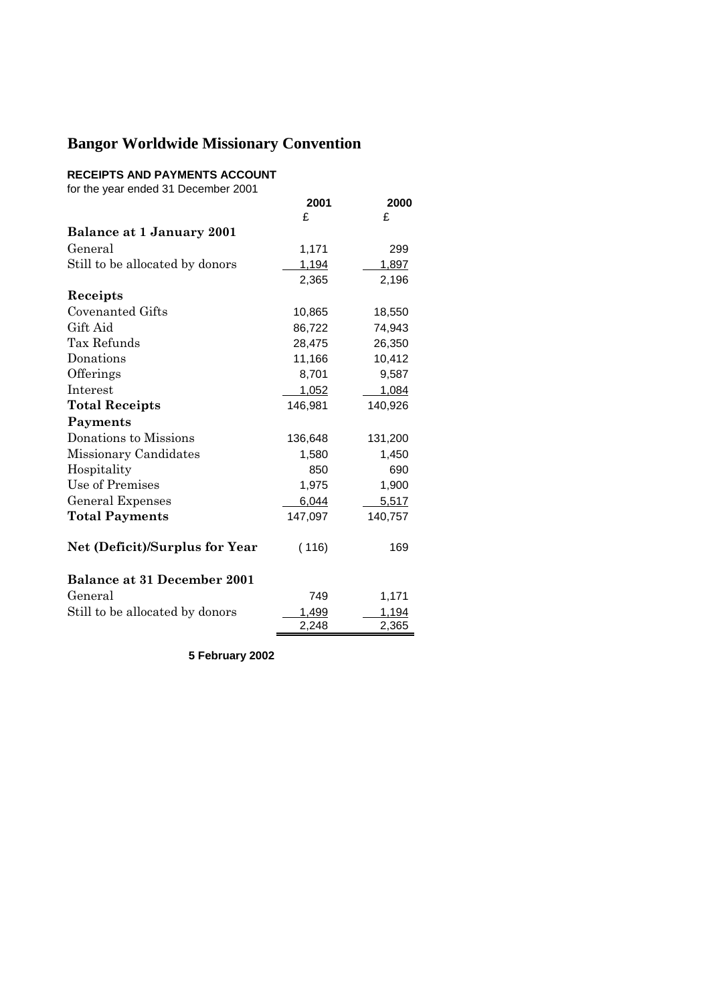### **RECEIPTS AND PAYMENTS ACCOUNT**

for the year ended 31 December 2001

|                                    | 2001    | 2000    |
|------------------------------------|---------|---------|
|                                    | £       | £       |
| Balance at 1 January 2001          |         |         |
| General                            | 1,171   | 299     |
| Still to be allocated by donors    | 1,194   | 1,897   |
|                                    | 2,365   | 2,196   |
| Receipts                           |         |         |
| Covenanted Gifts                   | 10,865  | 18,550  |
| Gift Aid                           | 86,722  | 74,943  |
| Tax Refunds                        | 28,475  | 26,350  |
| Donations                          | 11,166  | 10,412  |
| Offerings                          | 8,701   | 9,587   |
| Interest                           | 1,052   | 1,084   |
| <b>Total Receipts</b>              | 146,981 | 140,926 |
| Payments                           |         |         |
| Donations to Missions              | 136,648 | 131,200 |
| Missionary Candidates              | 1,580   | 1,450   |
| Hospitality                        | 850     | 690     |
| Use of Premises                    | 1,975   | 1,900   |
| <b>General Expenses</b>            | 6,044   | 5,517   |
| <b>Total Payments</b>              | 147,097 | 140,757 |
| Net (Deficit)/Surplus for Year     | (116)   | 169     |
| <b>Balance at 31 December 2001</b> |         |         |
| General                            | 749     | 1,171   |
| Still to be allocated by donors    | 1,499   | 1,194   |
|                                    | 2,248   | 2,365   |
|                                    |         |         |

**5 February 2002**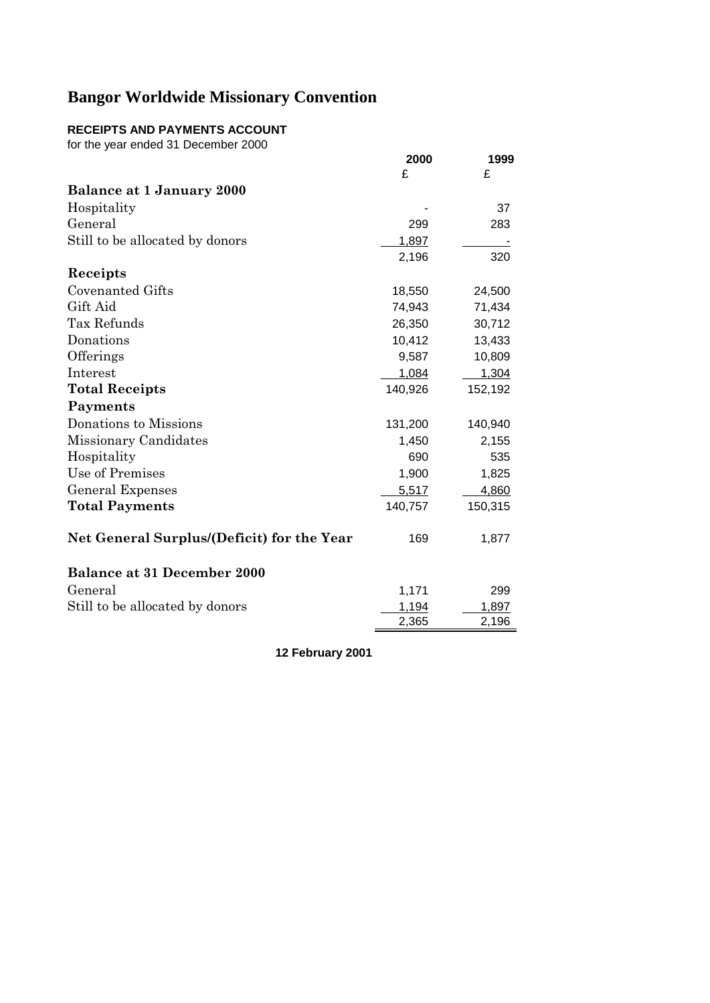## **RECEIPTS AND PAYMENTS ACCOUNT**

for the year ended 31 December 2000

|                                            | 2000    | 1999    |
|--------------------------------------------|---------|---------|
|                                            | £       | £       |
| Balance at 1 January 2000                  |         |         |
| Hospitality                                |         | 37      |
| General                                    | 299     | 283     |
| Still to be allocated by donors            | 1,897   |         |
|                                            | 2,196   | 320     |
| Receipts                                   |         |         |
| <b>Covenanted Gifts</b>                    | 18,550  | 24,500  |
| Gift Aid                                   | 74,943  | 71,434  |
| Tax Refunds                                | 26,350  | 30,712  |
| Donations                                  | 10,412  | 13,433  |
| Offerings                                  | 9,587   | 10,809  |
| Interest                                   | 1,084   | 1,304   |
| <b>Total Receipts</b>                      | 140,926 | 152,192 |
| Payments                                   |         |         |
| Donations to Missions                      | 131,200 | 140,940 |
| Missionary Candidates                      | 1,450   | 2,155   |
| Hospitality                                | 690     | 535     |
| Use of Premises                            | 1,900   | 1,825   |
| General Expenses                           | 5,517   | 4,860   |
| <b>Total Payments</b>                      | 140,757 | 150,315 |
| Net General Surplus/(Deficit) for the Year | 169     | 1,877   |
| <b>Balance at 31 December 2000</b>         |         |         |
| General                                    | 1,171   | 299     |
| Still to be allocated by donors            | 1,194   | 1,897   |
|                                            | 2,365   | 2,196   |

**12 February 2001**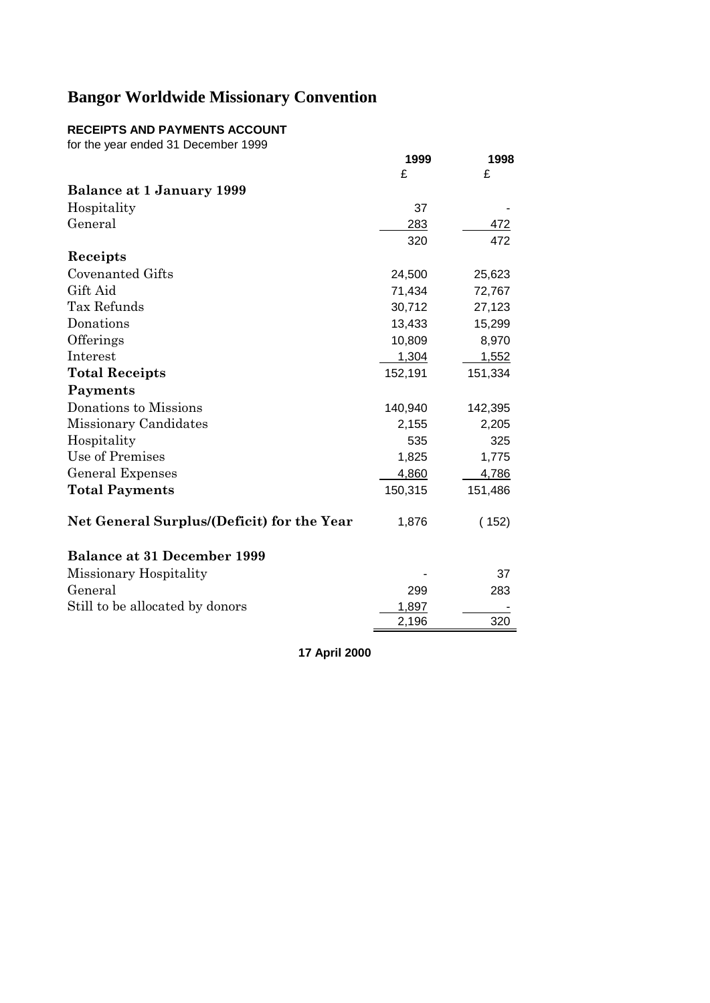## **RECEIPTS AND PAYMENTS ACCOUNT**

for the year ended 31 December 1999

| ion the year ended on December 1999        | 1999<br>£ | 1998<br>£ |
|--------------------------------------------|-----------|-----------|
| <b>Balance at 1 January 1999</b>           |           |           |
| Hospitality                                | 37        |           |
| General                                    | 283       | 472       |
|                                            | 320       | 472       |
| Receipts                                   |           |           |
| <b>Covenanted Gifts</b>                    | 24,500    | 25,623    |
| Gift Aid                                   | 71,434    | 72,767    |
| Tax Refunds                                | 30,712    | 27,123    |
| Donations                                  | 13,433    | 15,299    |
| Offerings                                  | 10,809    | 8,970     |
| Interest                                   | 1,304     | 1,552     |
| <b>Total Receipts</b>                      | 152,191   | 151,334   |
| Payments                                   |           |           |
| Donations to Missions                      | 140,940   | 142,395   |
| Missionary Candidates                      | 2,155     | 2,205     |
| Hospitality                                | 535       | 325       |
| Use of Premises                            | 1,825     | 1,775     |
| General Expenses                           | 4,860     | 4,786     |
| <b>Total Payments</b>                      | 150,315   | 151,486   |
| Net General Surplus/(Deficit) for the Year | 1,876     | (152)     |
| <b>Balance at 31 December 1999</b>         |           |           |
| Missionary Hospitality                     |           | 37        |
| General                                    | 299       | 283       |
| Still to be allocated by donors            | 1,897     |           |
|                                            | 2,196     | 320       |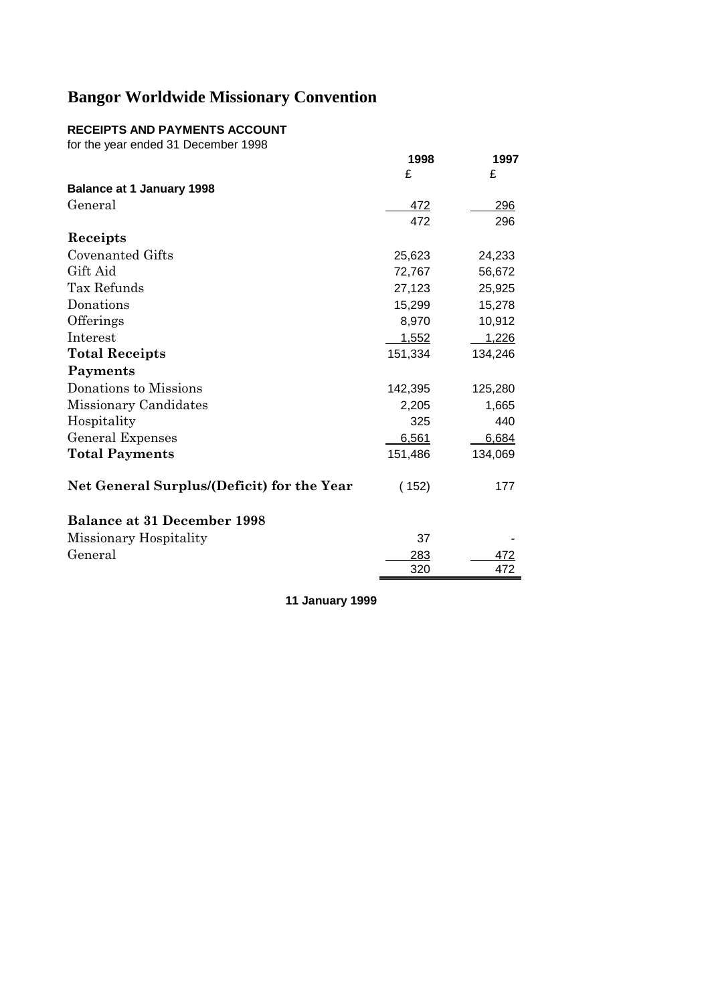## **RECEIPTS AND PAYMENTS ACCOUNT**

for the year ended 31 December 1998

|                                            | 1998    | 1997    |
|--------------------------------------------|---------|---------|
|                                            | £       | £       |
| <b>Balance at 1 January 1998</b>           |         |         |
| General                                    | 472     | 296     |
|                                            | 472     | 296     |
| Receipts                                   |         |         |
| Covenanted Gifts                           | 25,623  | 24,233  |
| Gift Aid                                   | 72,767  | 56,672  |
| Tax Refunds                                | 27,123  | 25,925  |
| Donations                                  | 15,299  | 15,278  |
| Offerings                                  | 8,970   | 10,912  |
| Interest                                   | 1,552   | 1,226   |
| <b>Total Receipts</b>                      | 151,334 | 134,246 |
| Payments                                   |         |         |
| Donations to Missions                      | 142,395 | 125,280 |
| Missionary Candidates                      | 2,205   | 1,665   |
| Hospitality                                | 325     | 440     |
| <b>General Expenses</b>                    | 6,561   | 6,684   |
| <b>Total Payments</b>                      | 151,486 | 134,069 |
| Net General Surplus/(Deficit) for the Year | (152)   | 177     |
| <b>Balance at 31 December 1998</b>         |         |         |
| Missionary Hospitality                     | 37      |         |
| General                                    | 283     | 472     |
|                                            | 320     | 472     |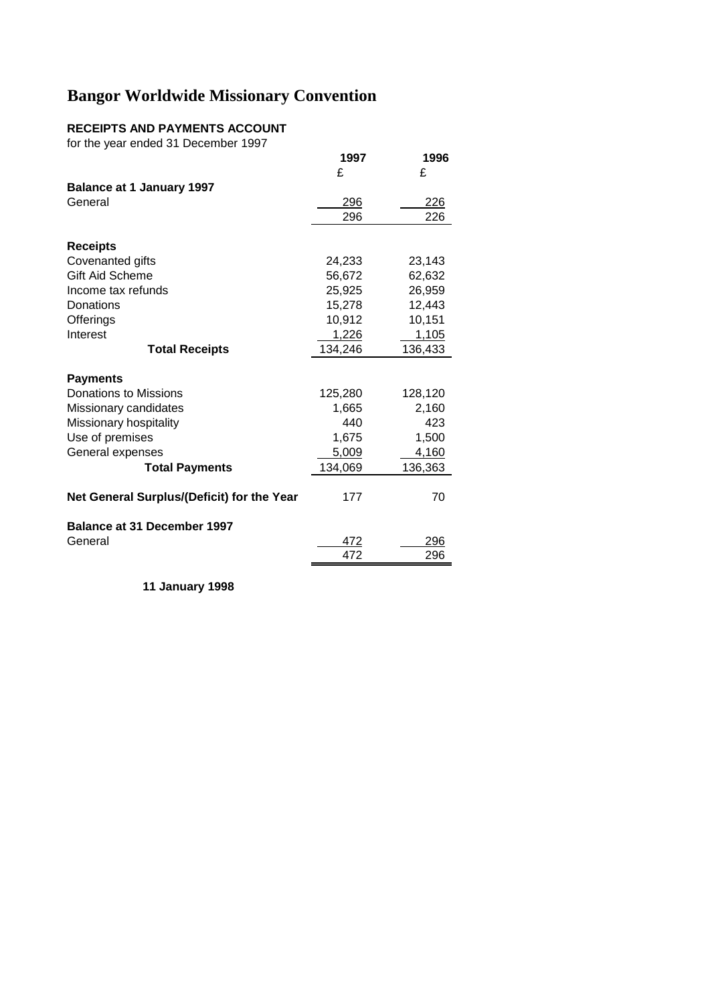## **RECEIPTS AND PAYMENTS ACCOUNT**

for the year ended 31 December 1997

|                                            | 1997    | 1996       |
|--------------------------------------------|---------|------------|
|                                            | £       | £          |
| <b>Balance at 1 January 1997</b>           |         |            |
| General                                    | 296     | <u>226</u> |
|                                            | 296     | 226        |
|                                            |         |            |
| <b>Receipts</b>                            |         |            |
| Covenanted gifts                           | 24,233  | 23,143     |
| <b>Gift Aid Scheme</b>                     | 56,672  | 62,632     |
| Income tax refunds                         | 25,925  | 26,959     |
| Donations                                  | 15,278  | 12,443     |
| Offerings                                  | 10,912  | 10,151     |
| Interest                                   | 1,226   | 1,105      |
| <b>Total Receipts</b>                      | 134,246 | 136,433    |
|                                            |         |            |
| <b>Payments</b>                            |         |            |
| Donations to Missions                      | 125,280 | 128,120    |
| Missionary candidates                      | 1,665   | 2,160      |
| Missionary hospitality                     | 440     | 423        |
| Use of premises                            | 1,675   | 1,500      |
| General expenses                           | 5,009   | 4,160      |
| <b>Total Payments</b>                      | 134,069 | 136,363    |
| Net General Surplus/(Deficit) for the Year | 177     | 70         |
| <b>Balance at 31 December 1997</b>         |         |            |
| General                                    | 472     | 296        |
|                                            | 472     | 296        |
|                                            |         |            |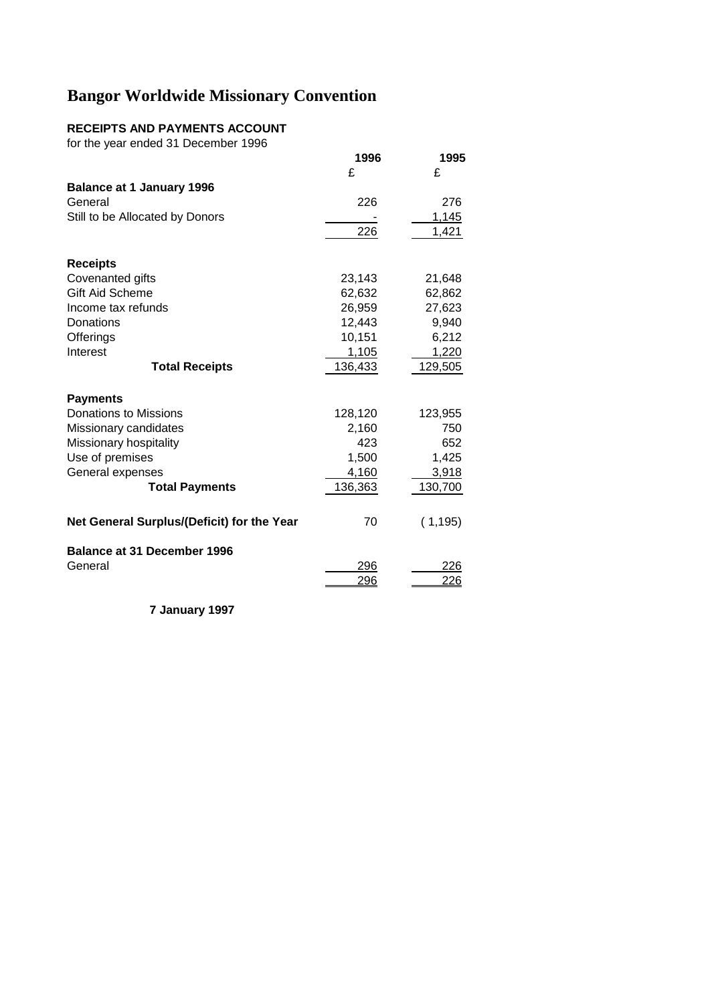## **RECEIPTS AND PAYMENTS ACCOUNT**

for the year ended 31 December 1996

|                                            | 1996       | 1995       |
|--------------------------------------------|------------|------------|
|                                            | £          | £          |
| <b>Balance at 1 January 1996</b>           |            |            |
| General                                    | 226        | 276        |
| Still to be Allocated by Donors            |            | 1,145      |
|                                            | 226        | 1,421      |
| <b>Receipts</b>                            |            |            |
| Covenanted gifts                           | 23,143     | 21,648     |
| <b>Gift Aid Scheme</b>                     | 62,632     | 62,862     |
| Income tax refunds                         | 26,959     | 27,623     |
| Donations                                  | 12,443     | 9,940      |
| Offerings                                  | 10,151     | 6,212      |
| Interest                                   | 1,105      | 1,220      |
| <b>Total Receipts</b>                      | 136,433    | 129,505    |
| <b>Payments</b>                            |            |            |
| Donations to Missions                      | 128,120    | 123,955    |
| Missionary candidates                      | 2,160      | 750        |
| Missionary hospitality                     | 423        | 652        |
| Use of premises                            | 1,500      | 1,425      |
| General expenses                           | 4,160      | 3,918      |
| <b>Total Payments</b>                      | 136,363    | 130,700    |
| Net General Surplus/(Deficit) for the Year | 70         | (1, 195)   |
| <b>Balance at 31 December 1996</b>         |            |            |
| General                                    | 296<br>296 | 226<br>226 |
|                                            |            |            |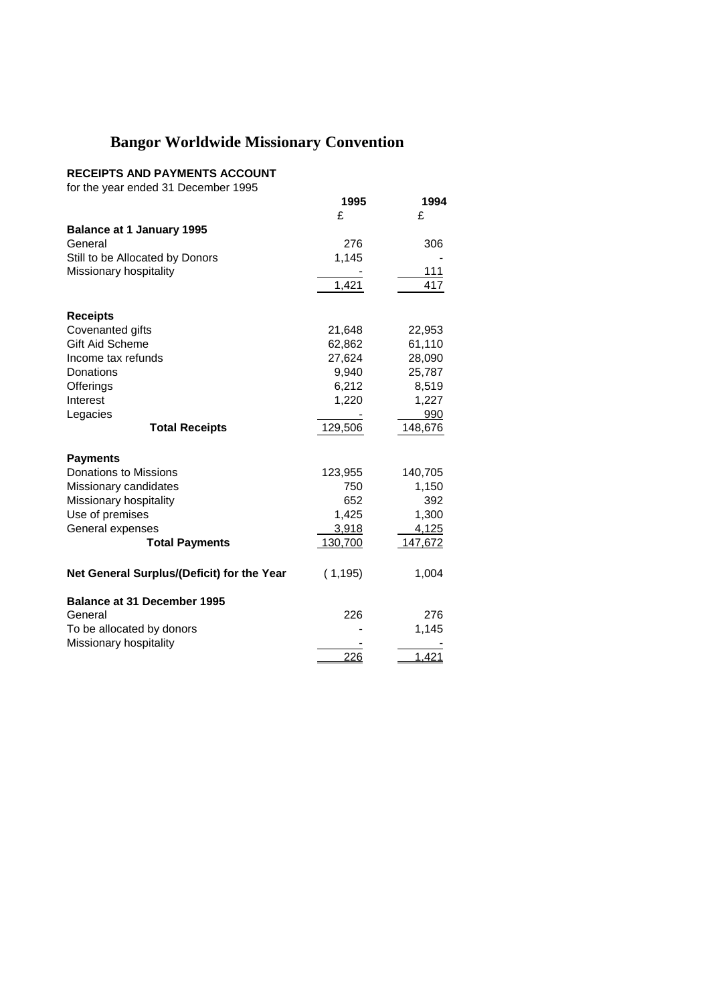#### **RECEIPTS AND PAYMENTS ACCOUNT**

for the year ended 31 December 1995

|                                            | 1995     | 1994    |
|--------------------------------------------|----------|---------|
|                                            | £        | £       |
| <b>Balance at 1 January 1995</b>           |          |         |
| General                                    | 276      | 306     |
| Still to be Allocated by Donors            | 1,145    |         |
| Missionary hospitality                     |          | 111     |
|                                            | 1,421    | 417     |
|                                            |          |         |
| <b>Receipts</b>                            |          |         |
| Covenanted gifts                           | 21,648   | 22,953  |
| Gift Aid Scheme                            | 62,862   | 61,110  |
| Income tax refunds                         | 27,624   | 28,090  |
| Donations                                  | 9,940    | 25,787  |
| Offerings                                  | 6,212    | 8,519   |
| Interest                                   | 1,220    | 1,227   |
| Legacies                                   |          | 990     |
| <b>Total Receipts</b>                      | 129,506  | 148,676 |
| <b>Payments</b>                            |          |         |
| Donations to Missions                      | 123,955  | 140,705 |
| Missionary candidates                      | 750      | 1,150   |
| Missionary hospitality                     | 652      | 392     |
| Use of premises                            | 1,425    | 1,300   |
| General expenses                           | 3,918    | 4,125   |
| <b>Total Payments</b>                      | 130,700  | 147,672 |
|                                            |          |         |
| Net General Surplus/(Deficit) for the Year | (1, 195) | 1,004   |
| <b>Balance at 31 December 1995</b>         |          |         |
| General                                    | 226      | 276     |
| To be allocated by donors                  |          | 1,145   |
| Missionary hospitality                     |          |         |
|                                            | 226      | 1,421   |